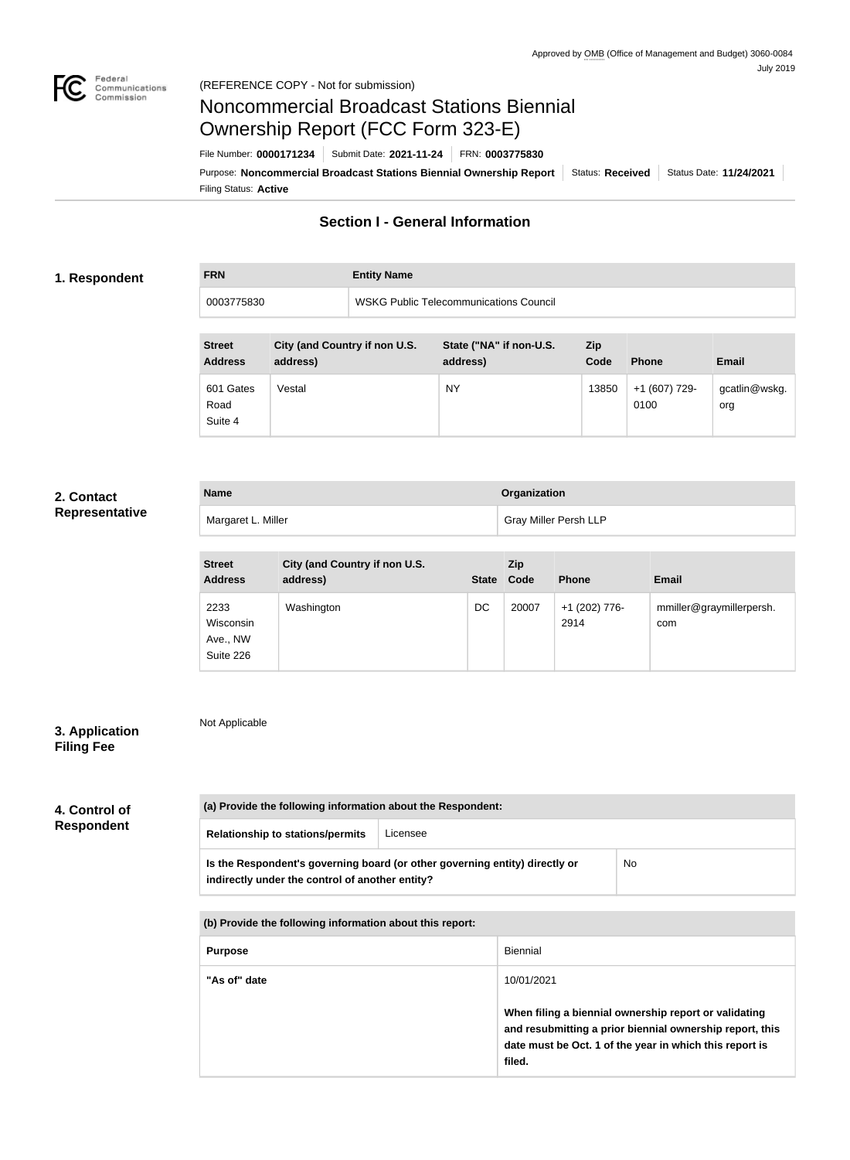

**FRN Entity Name**

# Noncommercial Broadcast Stations Biennial Ownership Report (FCC Form 323-E)

Filing Status: **Active** Purpose: Noncommercial Broadcast Stations Biennial Ownership Report | Status: Received | Status Date: 11/24/2021 File Number: **0000171234** Submit Date: **2021-11-24** FRN: **0003775830**

# **Section I - General Information**

#### **1. Respondent**

# 0003775830 WSKG Public Telecommunications Council

| <b>Street</b><br><b>Address</b> | City (and Country if non U.S.<br>address) | State ("NA" if non-U.S.<br>address) | Zip<br>Code | <b>Phone</b>          | <b>Email</b>         |
|---------------------------------|-------------------------------------------|-------------------------------------|-------------|-----------------------|----------------------|
| 601 Gates<br>Road<br>Suite 4    | Vestal                                    | <b>NY</b>                           | 13850       | +1 (607) 729-<br>0100 | gcatlin@wskg.<br>org |

### **2. Contact Representative**

| <b>Name</b>        | Organization                 |
|--------------------|------------------------------|
| Margaret L. Miller | <b>Gray Miller Persh LLP</b> |

| <b>Street</b><br><b>Address</b>            | City (and Country if non U.S.<br>address) | <b>State</b> | Zip<br>Code | <b>Phone</b>          | <b>Email</b>                    |
|--------------------------------------------|-------------------------------------------|--------------|-------------|-----------------------|---------------------------------|
| 2233<br>Wisconsin<br>Ave., NW<br>Suite 226 | Washington                                | DC           | 20007       | +1 (202) 776-<br>2914 | mmiller@graymillerpersh.<br>com |

## **3. Application Filing Fee**

Not Applicable

| 4. Control of     |
|-------------------|
| <b>Respondent</b> |

| (a) Provide the following information about the Respondent:<br><b>Relationship to stations/permits</b><br>Licensee             |  |           |
|--------------------------------------------------------------------------------------------------------------------------------|--|-----------|
| Is the Respondent's governing board (or other governing entity) directly or<br>indirectly under the control of another entity? |  | <b>No</b> |
| (b) Provide the following information about this report:                                                                       |  |           |

| <b>Purpose</b> | Biennial                                                                                                                                                                               |
|----------------|----------------------------------------------------------------------------------------------------------------------------------------------------------------------------------------|
| "As of" date   | 10/01/2021                                                                                                                                                                             |
|                | When filing a biennial ownership report or validating<br>and resubmitting a prior biennial ownership report, this<br>date must be Oct. 1 of the year in which this report is<br>filed. |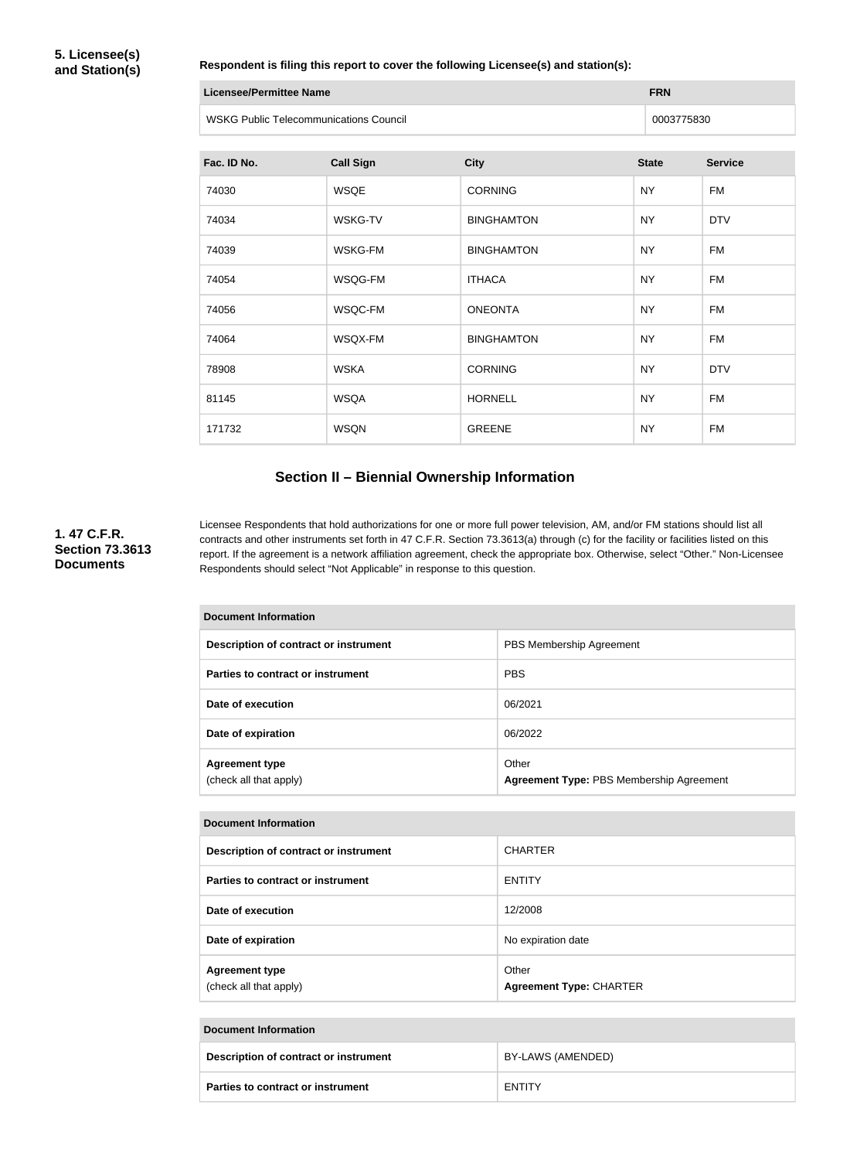#### **Respondent is filing this report to cover the following Licensee(s) and station(s):**

| Licensee/Permittee Name                | <b>FRN</b> |
|----------------------------------------|------------|
| WSKG Public Telecommunications Council | 0003775830 |

| Fac. ID No. | <b>Call Sign</b> | <b>City</b>       | <b>State</b> | <b>Service</b> |
|-------------|------------------|-------------------|--------------|----------------|
| 74030       | <b>WSQE</b>      | <b>CORNING</b>    | <b>NY</b>    | <b>FM</b>      |
| 74034       | <b>WSKG-TV</b>   | <b>BINGHAMTON</b> | <b>NY</b>    | <b>DTV</b>     |
| 74039       | <b>WSKG-FM</b>   | <b>BINGHAMTON</b> | <b>NY</b>    | <b>FM</b>      |
| 74054       | WSQG-FM          | <b>ITHACA</b>     | <b>NY</b>    | FM             |
| 74056       | WSQC-FM          | <b>ONEONTA</b>    | <b>NY</b>    | <b>FM</b>      |
| 74064       | WSQX-FM          | <b>BINGHAMTON</b> | <b>NY</b>    | <b>FM</b>      |
| 78908       | <b>WSKA</b>      | <b>CORNING</b>    | <b>NY</b>    | <b>DTV</b>     |
| 81145       | <b>WSQA</b>      | <b>HORNELL</b>    | <b>NY</b>    | <b>FM</b>      |
| 171732      | <b>WSQN</b>      | <b>GREENE</b>     | <b>NY</b>    | FM             |

# **Section II – Biennial Ownership Information**

**1. 47 C.F.R. Section 73.3613 Documents**

Licensee Respondents that hold authorizations for one or more full power television, AM, and/or FM stations should list all contracts and other instruments set forth in 47 C.F.R. Section 73.3613(a) through (c) for the facility or facilities listed on this report. If the agreement is a network affiliation agreement, check the appropriate box. Otherwise, select "Other." Non-Licensee Respondents should select "Not Applicable" in response to this question.

| <b>Document Information</b>                     |                                                   |  |
|-------------------------------------------------|---------------------------------------------------|--|
| Description of contract or instrument           | PBS Membership Agreement                          |  |
| Parties to contract or instrument               | <b>PBS</b>                                        |  |
| Date of execution                               | 06/2021                                           |  |
| Date of expiration                              | 06/2022                                           |  |
| <b>Agreement type</b><br>(check all that apply) | Other<br>Agreement Type: PBS Membership Agreement |  |

| <b>Document Information</b>                     |                                         |  |
|-------------------------------------------------|-----------------------------------------|--|
| Description of contract or instrument           | <b>CHARTER</b>                          |  |
| Parties to contract or instrument               | <b>ENTITY</b>                           |  |
| Date of execution                               | 12/2008                                 |  |
| Date of expiration                              | No expiration date                      |  |
| <b>Agreement type</b><br>(check all that apply) | Other<br><b>Agreement Type: CHARTER</b> |  |

| Document Information |                                          |                   |
|----------------------|------------------------------------------|-------------------|
|                      | Description of contract or instrument    | BY-LAWS (AMENDED) |
|                      | <b>Parties to contract or instrument</b> | <b>ENTITY</b>     |

the control of the control of the control of the control of the control of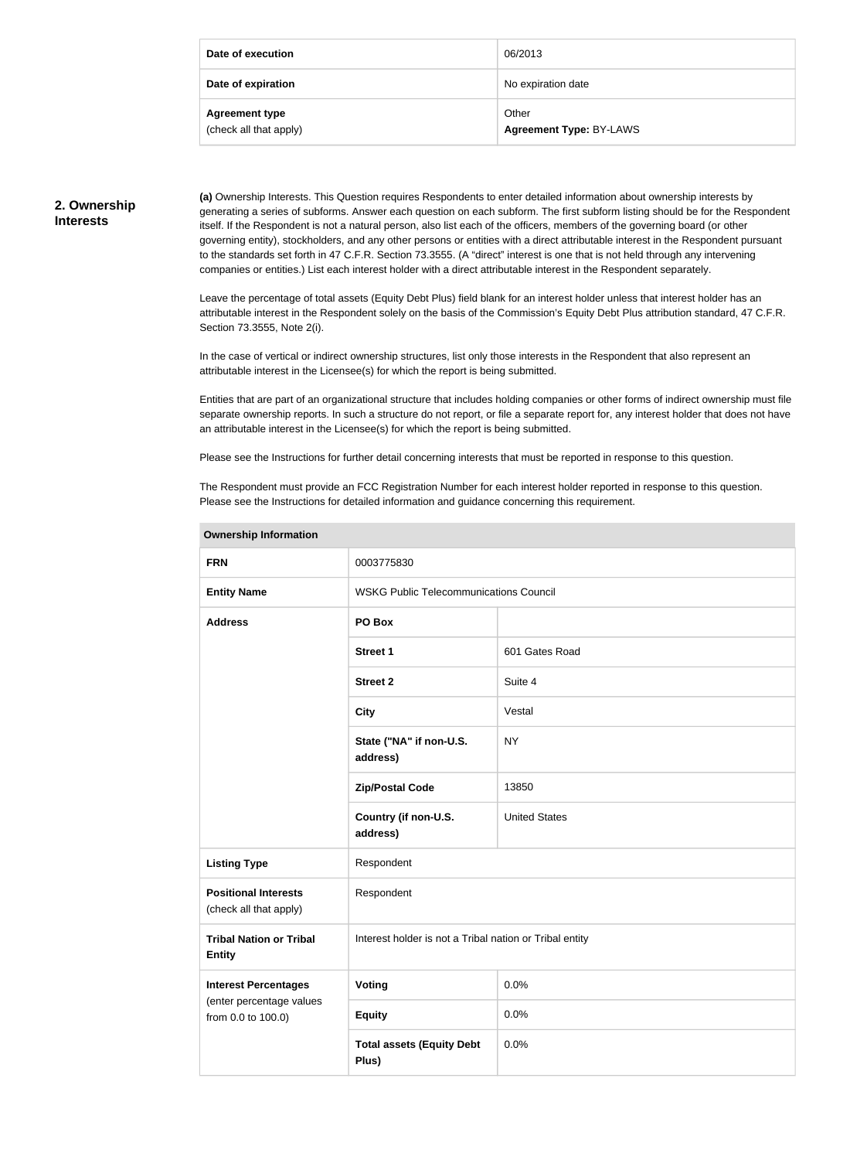| Date of execution                               | 06/2013                          |
|-------------------------------------------------|----------------------------------|
| Date of expiration                              | No expiration date               |
| <b>Agreement type</b><br>(check all that apply) | Other<br>Agreement Type: BY-LAWS |

#### **2. Ownership Interests**

**(a)** Ownership Interests. This Question requires Respondents to enter detailed information about ownership interests by generating a series of subforms. Answer each question on each subform. The first subform listing should be for the Respondent itself. If the Respondent is not a natural person, also list each of the officers, members of the governing board (or other governing entity), stockholders, and any other persons or entities with a direct attributable interest in the Respondent pursuant to the standards set forth in 47 C.F.R. Section 73.3555. (A "direct" interest is one that is not held through any intervening companies or entities.) List each interest holder with a direct attributable interest in the Respondent separately.

Leave the percentage of total assets (Equity Debt Plus) field blank for an interest holder unless that interest holder has an attributable interest in the Respondent solely on the basis of the Commission's Equity Debt Plus attribution standard, 47 C.F.R. Section 73.3555, Note 2(i).

In the case of vertical or indirect ownership structures, list only those interests in the Respondent that also represent an attributable interest in the Licensee(s) for which the report is being submitted.

Entities that are part of an organizational structure that includes holding companies or other forms of indirect ownership must file separate ownership reports. In such a structure do not report, or file a separate report for, any interest holder that does not have an attributable interest in the Licensee(s) for which the report is being submitted.

Please see the Instructions for further detail concerning interests that must be reported in response to this question.

The Respondent must provide an FCC Registration Number for each interest holder reported in response to this question. Please see the Instructions for detailed information and guidance concerning this requirement.

| <b>FRN</b>                                            | 0003775830                                              |                      |
|-------------------------------------------------------|---------------------------------------------------------|----------------------|
| <b>Entity Name</b>                                    | <b>WSKG Public Telecommunications Council</b>           |                      |
| <b>Address</b>                                        | PO Box                                                  |                      |
|                                                       | <b>Street 1</b>                                         | 601 Gates Road       |
|                                                       | <b>Street 2</b>                                         | Suite 4              |
|                                                       | <b>City</b>                                             | Vestal               |
|                                                       | State ("NA" if non-U.S.<br>address)                     | <b>NY</b>            |
|                                                       | <b>Zip/Postal Code</b>                                  | 13850                |
|                                                       | Country (if non-U.S.<br>address)                        | <b>United States</b> |
| <b>Listing Type</b>                                   | Respondent                                              |                      |
| <b>Positional Interests</b><br>(check all that apply) | Respondent                                              |                      |
| <b>Tribal Nation or Tribal</b><br><b>Entity</b>       | Interest holder is not a Tribal nation or Tribal entity |                      |
| <b>Interest Percentages</b>                           | <b>Voting</b>                                           | 0.0%                 |
| (enter percentage values<br>from 0.0 to 100.0)        | <b>Equity</b>                                           | 0.0%                 |
|                                                       | <b>Total assets (Equity Debt</b><br>Plus)               | 0.0%                 |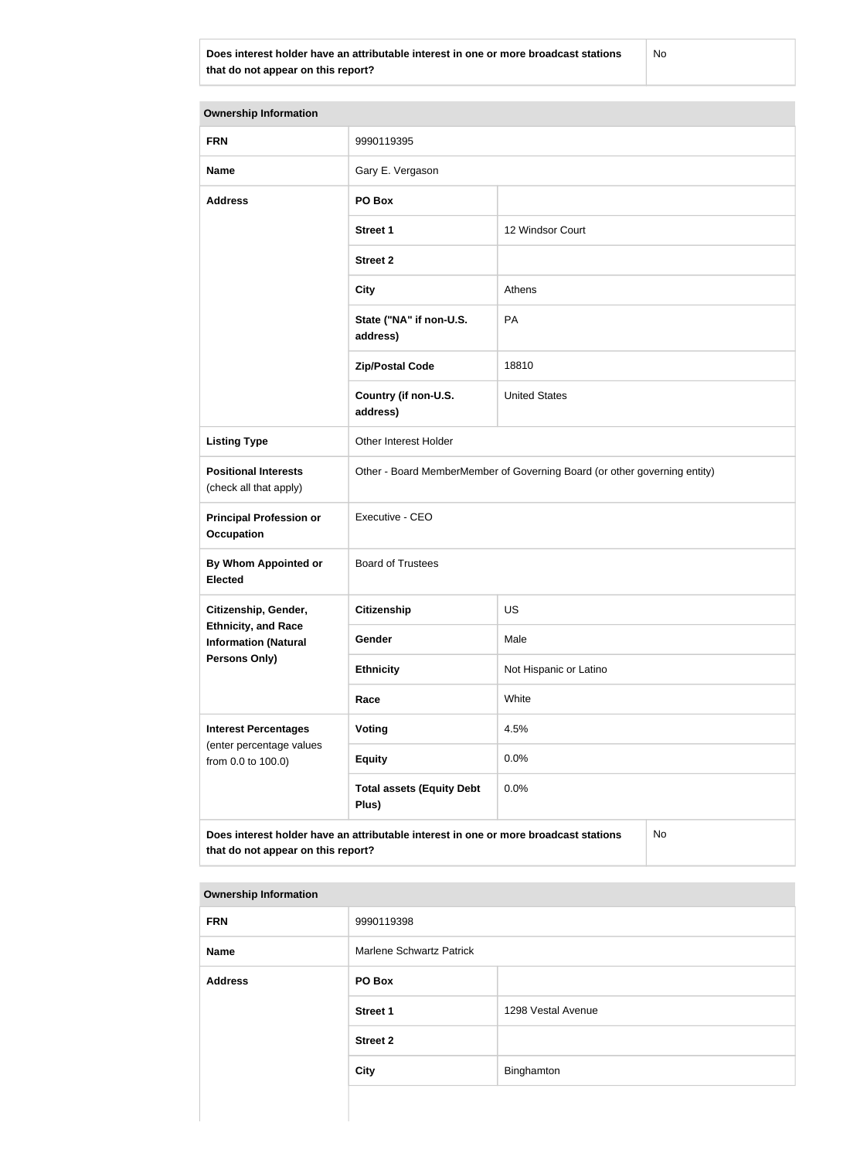**Does interest holder have an attributable interest in one or more broadcast stations that do not appear on this report?**

No

| <b>Ownership Information</b>                              |                                                                                      |                        |  |
|-----------------------------------------------------------|--------------------------------------------------------------------------------------|------------------------|--|
| <b>FRN</b>                                                | 9990119395                                                                           |                        |  |
| <b>Name</b>                                               | Gary E. Vergason                                                                     |                        |  |
| <b>Address</b>                                            | PO Box                                                                               |                        |  |
|                                                           | <b>Street 1</b>                                                                      | 12 Windsor Court       |  |
|                                                           | <b>Street 2</b>                                                                      |                        |  |
|                                                           | <b>City</b>                                                                          | Athens                 |  |
|                                                           | State ("NA" if non-U.S.<br>address)                                                  | PA                     |  |
|                                                           | <b>Zip/Postal Code</b>                                                               | 18810                  |  |
|                                                           | Country (if non-U.S.<br>address)                                                     | <b>United States</b>   |  |
| <b>Listing Type</b>                                       | Other Interest Holder                                                                |                        |  |
| <b>Positional Interests</b><br>(check all that apply)     | Other - Board MemberMember of Governing Board (or other governing entity)            |                        |  |
| <b>Principal Profession or</b><br><b>Occupation</b>       | Executive - CEO                                                                      |                        |  |
| By Whom Appointed or<br><b>Elected</b>                    | <b>Board of Trustees</b>                                                             |                        |  |
| Citizenship, Gender,                                      | <b>Citizenship</b>                                                                   | <b>US</b>              |  |
| <b>Ethnicity, and Race</b><br><b>Information (Natural</b> | Gender                                                                               | Male                   |  |
| <b>Persons Only)</b>                                      | <b>Ethnicity</b>                                                                     | Not Hispanic or Latino |  |
|                                                           | Race                                                                                 | White                  |  |
| <b>Interest Percentages</b><br>(enter percentage values   | Voting                                                                               | 4.5%                   |  |
| from 0.0 to 100.0)                                        | <b>Equity</b>                                                                        | 0.0%                   |  |
|                                                           | <b>Total assets (Equity Debt</b><br>Plus)                                            | 0.0%                   |  |
| that do not appear on this report?                        | Does interest holder have an attributable interest in one or more broadcast stations | No                     |  |

| <b>FRN</b>     | 9990119398                      |                    |
|----------------|---------------------------------|--------------------|
| <b>Name</b>    | <b>Marlene Schwartz Patrick</b> |                    |
| <b>Address</b> | PO Box                          |                    |
|                | <b>Street 1</b>                 | 1298 Vestal Avenue |
|                | <b>Street 2</b>                 |                    |
|                | <b>City</b>                     | Binghamton         |
|                |                                 |                    |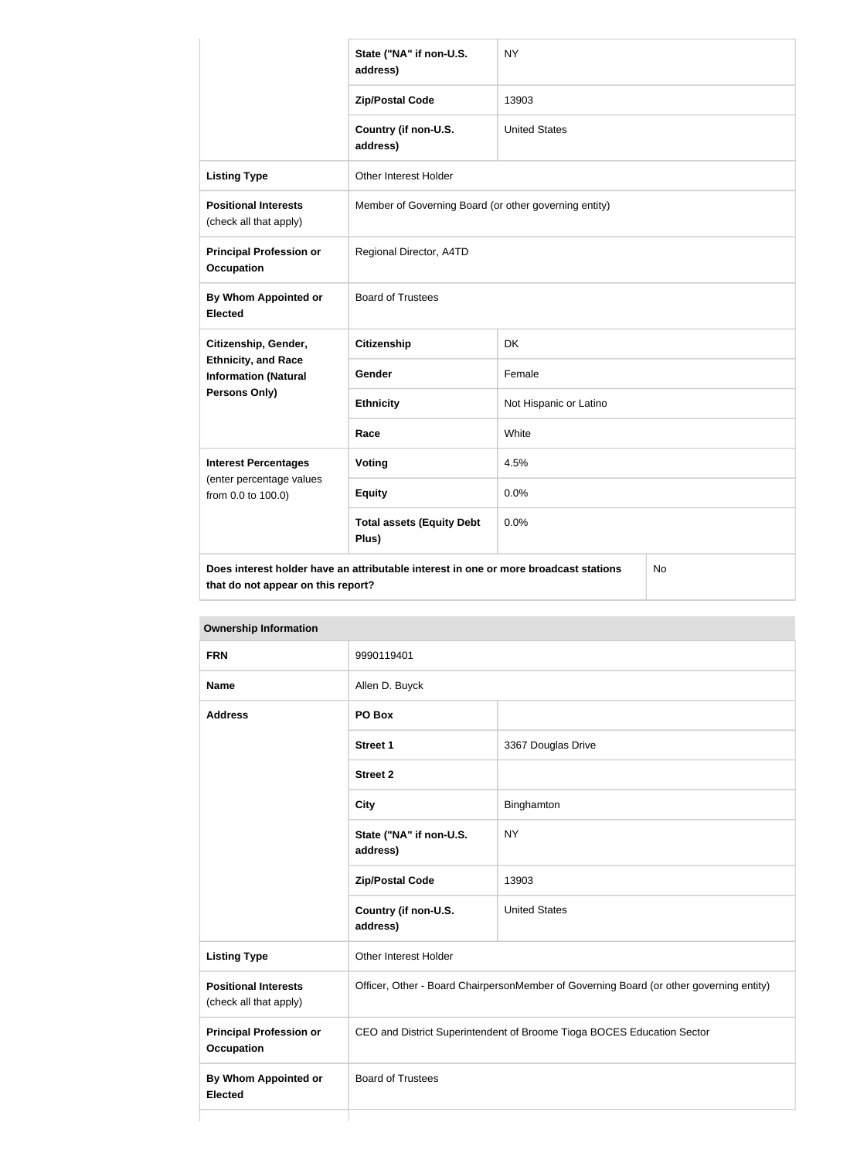|                                                           | State ("NA" if non-U.S.<br>address)                                                  | <b>NY</b>              |           |
|-----------------------------------------------------------|--------------------------------------------------------------------------------------|------------------------|-----------|
|                                                           | <b>Zip/Postal Code</b>                                                               | 13903                  |           |
|                                                           | Country (if non-U.S.<br>address)                                                     | <b>United States</b>   |           |
| <b>Listing Type</b>                                       | Other Interest Holder                                                                |                        |           |
| <b>Positional Interests</b><br>(check all that apply)     | Member of Governing Board (or other governing entity)                                |                        |           |
| <b>Principal Profession or</b><br><b>Occupation</b>       | Regional Director, A4TD                                                              |                        |           |
| <b>By Whom Appointed or</b><br><b>Elected</b>             | <b>Board of Trustees</b>                                                             |                        |           |
| Citizenship, Gender,                                      | <b>Citizenship</b>                                                                   | <b>DK</b>              |           |
| <b>Ethnicity, and Race</b><br><b>Information (Natural</b> | <b>Gender</b>                                                                        | Female                 |           |
| Persons Only)                                             | <b>Ethnicity</b>                                                                     | Not Hispanic or Latino |           |
|                                                           | Race                                                                                 | White                  |           |
| <b>Interest Percentages</b>                               | Voting                                                                               | 4.5%                   |           |
| (enter percentage values<br>from 0.0 to 100.0)            | <b>Equity</b>                                                                        | 0.0%                   |           |
|                                                           | <b>Total assets (Equity Debt</b><br>Plus)                                            | 0.0%                   |           |
| that do not appear on this report?                        | Does interest holder have an attributable interest in one or more broadcast stations |                        | <b>No</b> |

| <b>Ownership Information</b>                          |                                                                                         |                      |  |
|-------------------------------------------------------|-----------------------------------------------------------------------------------------|----------------------|--|
| <b>FRN</b>                                            | 9990119401                                                                              |                      |  |
| <b>Name</b>                                           | Allen D. Buyck                                                                          |                      |  |
| <b>Address</b>                                        | PO Box                                                                                  |                      |  |
|                                                       | <b>Street 1</b>                                                                         | 3367 Douglas Drive   |  |
|                                                       | <b>Street 2</b>                                                                         |                      |  |
|                                                       | <b>City</b>                                                                             | Binghamton           |  |
|                                                       | State ("NA" if non-U.S.<br>address)                                                     | <b>NY</b>            |  |
|                                                       | <b>Zip/Postal Code</b>                                                                  | 13903                |  |
|                                                       | Country (if non-U.S.<br>address)                                                        | <b>United States</b> |  |
| <b>Listing Type</b>                                   | Other Interest Holder                                                                   |                      |  |
| <b>Positional Interests</b><br>(check all that apply) | Officer, Other - Board ChairpersonMember of Governing Board (or other governing entity) |                      |  |
| <b>Principal Profession or</b><br><b>Occupation</b>   | CEO and District Superintendent of Broome Tioga BOCES Education Sector                  |                      |  |
| <b>By Whom Appointed or</b><br><b>Elected</b>         | <b>Board of Trustees</b>                                                                |                      |  |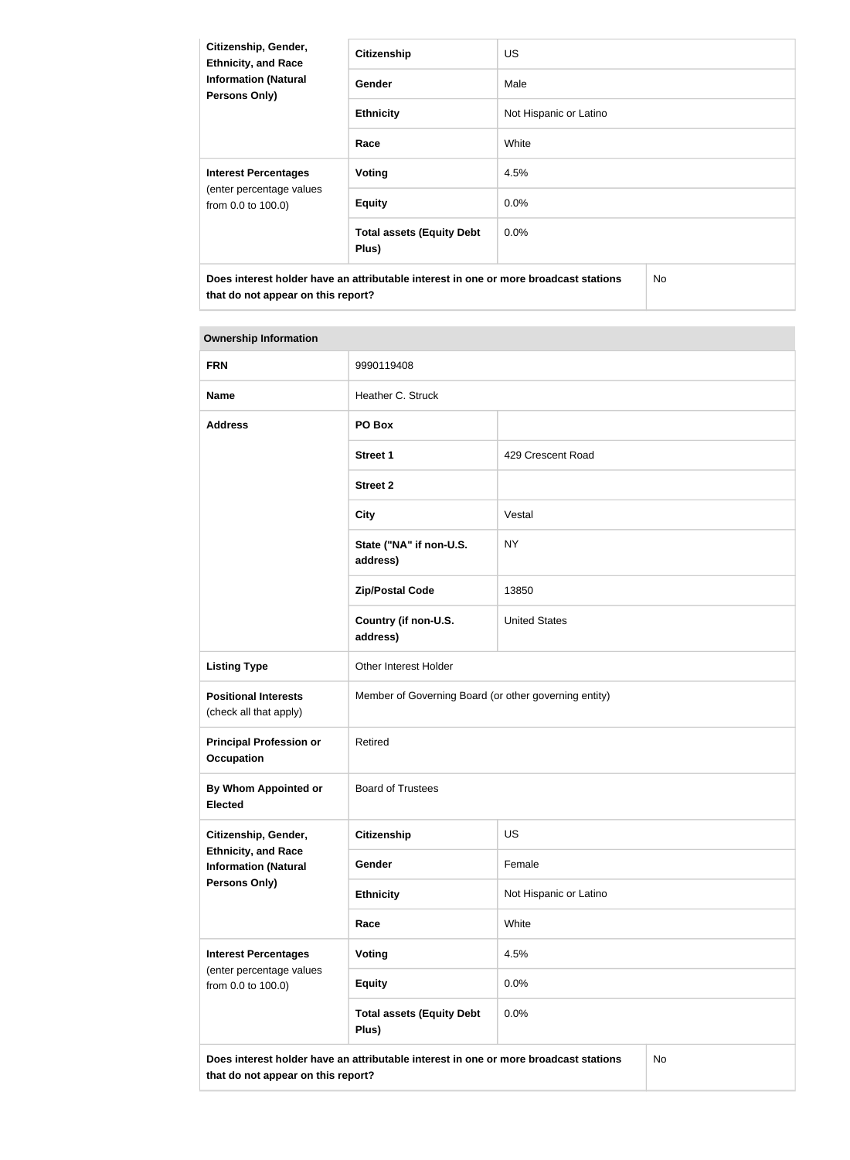| Citizenship, Gender,<br><b>Ethnicity, and Race</b><br><b>Information (Natural</b><br><b>Persons Only)</b> | <b>Citizenship</b>                        | <b>US</b>              |  |  |
|-----------------------------------------------------------------------------------------------------------|-------------------------------------------|------------------------|--|--|
|                                                                                                           | Gender                                    | Male                   |  |  |
|                                                                                                           | <b>Ethnicity</b>                          | Not Hispanic or Latino |  |  |
|                                                                                                           | Race                                      | White                  |  |  |
| <b>Interest Percentages</b><br>(enter percentage values<br>from 0.0 to 100.0)                             | Voting                                    | 4.5%                   |  |  |
|                                                                                                           | <b>Equity</b>                             | $0.0\%$                |  |  |
|                                                                                                           | <b>Total assets (Equity Debt</b><br>Plus) | 0.0%                   |  |  |
| Does interest holder have an attributable interest in one or more broadcast stations                      |                                           | No.                    |  |  |

**that do not appear on this report?**

| <b>FRN</b>                                                | 9990119408                                                                           |                        |    |
|-----------------------------------------------------------|--------------------------------------------------------------------------------------|------------------------|----|
| <b>Name</b>                                               | Heather C. Struck                                                                    |                        |    |
| <b>Address</b>                                            | PO Box                                                                               |                        |    |
|                                                           | <b>Street 1</b>                                                                      | 429 Crescent Road      |    |
|                                                           | <b>Street 2</b>                                                                      |                        |    |
|                                                           | <b>City</b>                                                                          | Vestal                 |    |
|                                                           | State ("NA" if non-U.S.<br>address)                                                  | <b>NY</b>              |    |
|                                                           | <b>Zip/Postal Code</b>                                                               | 13850                  |    |
|                                                           | Country (if non-U.S.<br>address)                                                     | <b>United States</b>   |    |
| <b>Listing Type</b>                                       | Other Interest Holder                                                                |                        |    |
| <b>Positional Interests</b><br>(check all that apply)     | Member of Governing Board (or other governing entity)                                |                        |    |
| <b>Principal Profession or</b><br><b>Occupation</b>       | Retired                                                                              |                        |    |
| By Whom Appointed or<br><b>Elected</b>                    | <b>Board of Trustees</b>                                                             |                        |    |
| Citizenship, Gender,                                      | <b>Citizenship</b>                                                                   | <b>US</b>              |    |
| <b>Ethnicity, and Race</b><br><b>Information (Natural</b> | Gender                                                                               | Female                 |    |
| <b>Persons Only)</b>                                      | <b>Ethnicity</b>                                                                     | Not Hispanic or Latino |    |
|                                                           | Race                                                                                 | White                  |    |
| <b>Interest Percentages</b><br>(enter percentage values   | <b>Voting</b>                                                                        | 4.5%                   |    |
| from 0.0 to 100.0)                                        | <b>Equity</b>                                                                        | 0.0%                   |    |
|                                                           | <b>Total assets (Equity Debt</b><br>Plus)                                            | 0.0%                   |    |
| that do not appear on this report?                        | Does interest holder have an attributable interest in one or more broadcast stations |                        | No |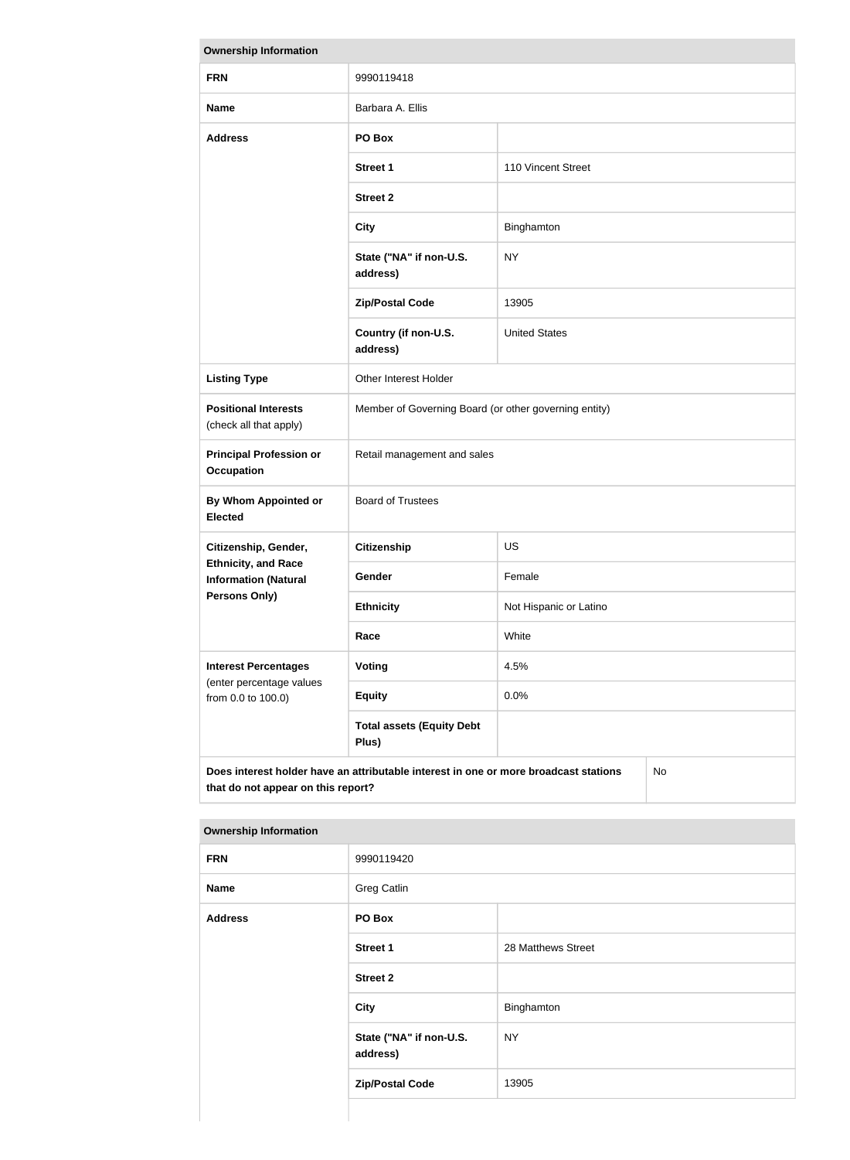| <b>Ownership Information</b>                                                                                                            |                                                       |                        |  |
|-----------------------------------------------------------------------------------------------------------------------------------------|-------------------------------------------------------|------------------------|--|
| <b>FRN</b>                                                                                                                              | 9990119418                                            |                        |  |
| <b>Name</b>                                                                                                                             | Barbara A. Ellis                                      |                        |  |
| <b>Address</b>                                                                                                                          | PO Box                                                |                        |  |
|                                                                                                                                         | <b>Street 1</b>                                       | 110 Vincent Street     |  |
|                                                                                                                                         | <b>Street 2</b>                                       |                        |  |
|                                                                                                                                         | <b>City</b>                                           | Binghamton             |  |
|                                                                                                                                         | State ("NA" if non-U.S.<br>address)                   | <b>NY</b>              |  |
|                                                                                                                                         | <b>Zip/Postal Code</b>                                | 13905                  |  |
|                                                                                                                                         | Country (if non-U.S.<br>address)                      | <b>United States</b>   |  |
| <b>Listing Type</b>                                                                                                                     | Other Interest Holder                                 |                        |  |
| <b>Positional Interests</b><br>(check all that apply)                                                                                   | Member of Governing Board (or other governing entity) |                        |  |
| <b>Principal Profession or</b><br><b>Occupation</b>                                                                                     | Retail management and sales                           |                        |  |
| <b>By Whom Appointed or</b><br><b>Elected</b>                                                                                           | <b>Board of Trustees</b>                              |                        |  |
| Citizenship, Gender,                                                                                                                    | <b>Citizenship</b>                                    | <b>US</b>              |  |
| <b>Ethnicity, and Race</b><br><b>Information (Natural</b>                                                                               | <b>Gender</b>                                         | Female                 |  |
| Persons Only)                                                                                                                           | <b>Ethnicity</b>                                      | Not Hispanic or Latino |  |
|                                                                                                                                         | Race                                                  | White                  |  |
| <b>Interest Percentages</b><br>(enter percentage values                                                                                 | Voting                                                | 4.5%                   |  |
| from 0.0 to 100.0)                                                                                                                      | <b>Equity</b>                                         | 0.0%                   |  |
|                                                                                                                                         | <b>Total assets (Equity Debt</b><br>Plus)             |                        |  |
| Does interest holder have an attributable interest in one or more broadcast stations<br><b>No</b><br>that do not appear on this report? |                                                       |                        |  |

| <b>FRN</b>     | 9990119420                          |                    |  |
|----------------|-------------------------------------|--------------------|--|
| <b>Name</b>    | Greg Catlin                         |                    |  |
| <b>Address</b> | PO Box                              |                    |  |
|                | <b>Street 1</b>                     | 28 Matthews Street |  |
|                | <b>Street 2</b>                     |                    |  |
|                | <b>City</b>                         | Binghamton         |  |
|                | State ("NA" if non-U.S.<br>address) | <b>NY</b>          |  |
|                | <b>Zip/Postal Code</b>              | 13905              |  |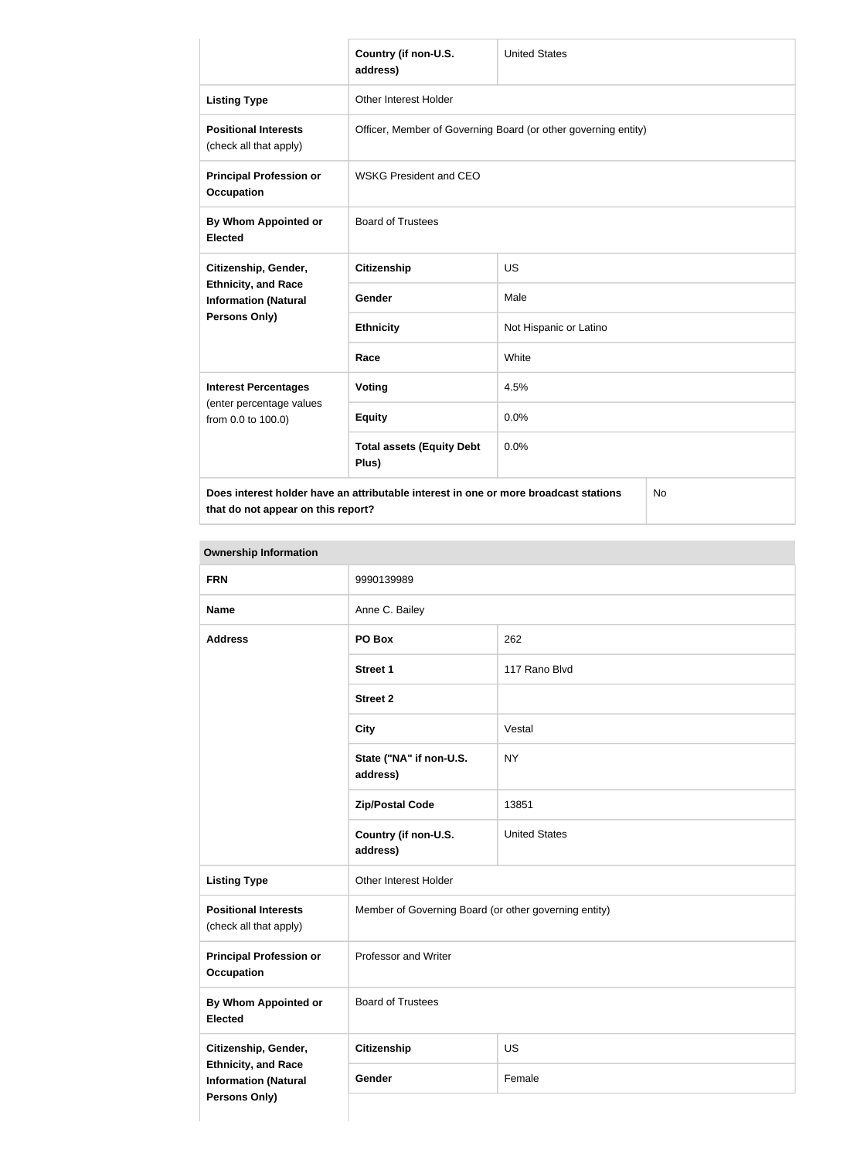|                                                                                            | Country (if non-U.S.<br>address)                               | <b>United States</b>   |  |
|--------------------------------------------------------------------------------------------|----------------------------------------------------------------|------------------------|--|
| <b>Listing Type</b>                                                                        | Other Interest Holder                                          |                        |  |
| <b>Positional Interests</b><br>(check all that apply)                                      | Officer, Member of Governing Board (or other governing entity) |                        |  |
| <b>Principal Profession or</b><br><b>Occupation</b>                                        | <b>WSKG President and CEO</b>                                  |                        |  |
| By Whom Appointed or<br><b>Elected</b>                                                     | <b>Board of Trustees</b>                                       |                        |  |
| Citizenship, Gender,                                                                       | <b>Citizenship</b>                                             | <b>US</b>              |  |
| <b>Ethnicity, and Race</b><br><b>Information (Natural</b>                                  | Gender                                                         | Male                   |  |
| <b>Persons Only)</b>                                                                       | <b>Ethnicity</b>                                               | Not Hispanic or Latino |  |
|                                                                                            | Race                                                           | White                  |  |
| <b>Interest Percentages</b>                                                                | <b>Voting</b>                                                  | 4.5%                   |  |
| (enter percentage values<br>from 0.0 to 100.0)                                             | <b>Equity</b>                                                  | 0.0%                   |  |
|                                                                                            | <b>Total assets (Equity Debt</b><br>Plus)                      | 0.0%                   |  |
| Does interest holder have an attributable interest in one or more broadcast stations<br>No |                                                                |                        |  |

**that do not appear on this report?**

No

| <b>FRN</b>                                                                 | 9990139989                                            |                      |
|----------------------------------------------------------------------------|-------------------------------------------------------|----------------------|
| <b>Name</b>                                                                | Anne C. Bailey                                        |                      |
| <b>Address</b>                                                             | PO Box                                                | 262                  |
|                                                                            | Street 1                                              | 117 Rano Blvd        |
|                                                                            | <b>Street 2</b>                                       |                      |
|                                                                            | <b>City</b>                                           | Vestal               |
|                                                                            | State ("NA" if non-U.S.<br>address)                   | <b>NY</b>            |
|                                                                            | <b>Zip/Postal Code</b>                                | 13851                |
|                                                                            | Country (if non-U.S.<br>address)                      | <b>United States</b> |
| <b>Listing Type</b>                                                        | Other Interest Holder                                 |                      |
| <b>Positional Interests</b><br>(check all that apply)                      | Member of Governing Board (or other governing entity) |                      |
| <b>Principal Profession or</b><br><b>Occupation</b>                        | Professor and Writer                                  |                      |
| <b>By Whom Appointed or</b><br><b>Elected</b>                              | <b>Board of Trustees</b>                              |                      |
| Citizenship, Gender,                                                       | <b>Citizenship</b>                                    | US                   |
| <b>Ethnicity, and Race</b><br><b>Information (Natural</b><br>Persons Only) | Gender                                                | Female               |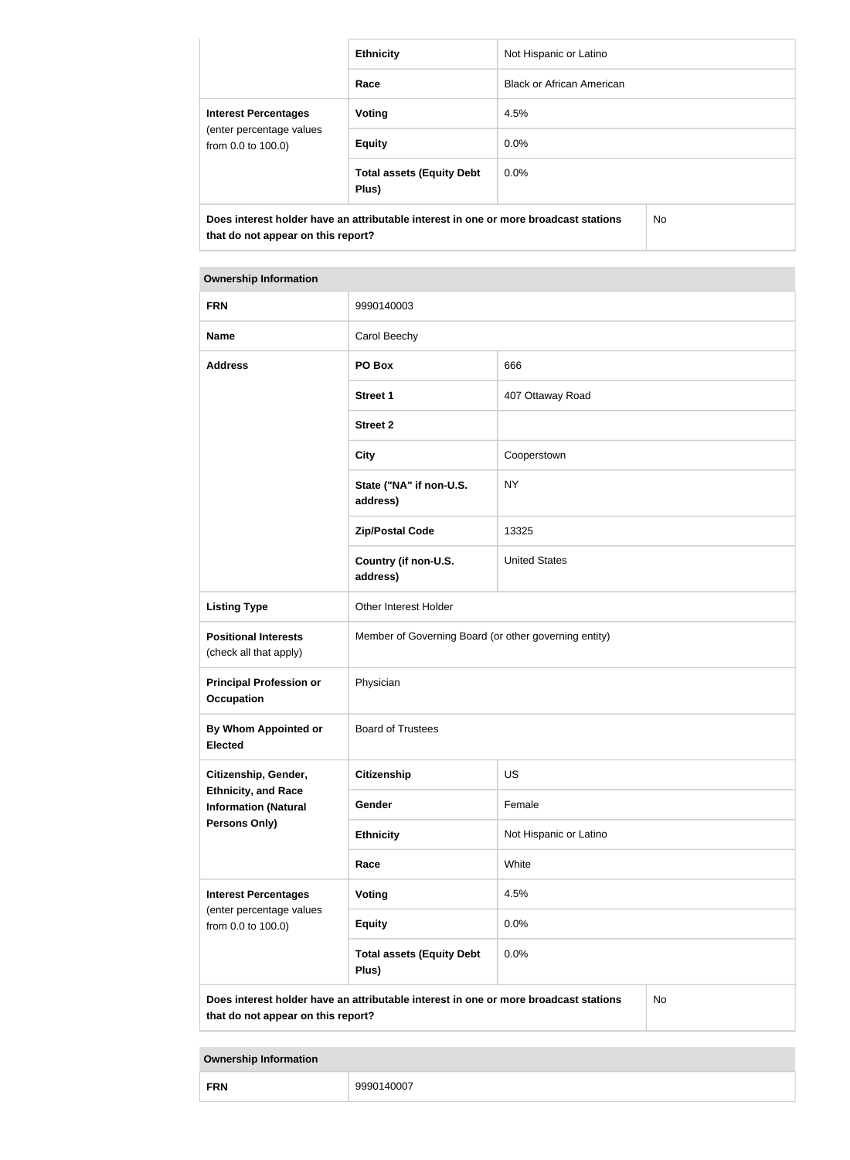|                                                                                                                            | <b>Ethnicity</b>                          | Not Hispanic or Latino           |     |
|----------------------------------------------------------------------------------------------------------------------------|-------------------------------------------|----------------------------------|-----|
|                                                                                                                            | Race                                      | <b>Black or African American</b> |     |
| <b>Interest Percentages</b><br>(enter percentage values<br>from 0.0 to 100.0)                                              | Voting                                    | 4.5%                             |     |
|                                                                                                                            | <b>Equity</b>                             | $0.0\%$                          |     |
|                                                                                                                            | <b>Total assets (Equity Debt</b><br>Plus) | $0.0\%$                          |     |
| Does interest holder have an attributable interest in one or more broadcast stations<br>that do not appear on this report? |                                           |                                  | No. |

| <b>FRN</b>                                                                                                                              | 9990140003                                            |                        |  |
|-----------------------------------------------------------------------------------------------------------------------------------------|-------------------------------------------------------|------------------------|--|
| <b>Name</b>                                                                                                                             | Carol Beechy                                          |                        |  |
| <b>Address</b>                                                                                                                          | PO Box                                                | 666                    |  |
|                                                                                                                                         | <b>Street 1</b>                                       | 407 Ottaway Road       |  |
|                                                                                                                                         | <b>Street 2</b>                                       |                        |  |
|                                                                                                                                         | <b>City</b>                                           | Cooperstown            |  |
|                                                                                                                                         | State ("NA" if non-U.S.<br>address)                   | <b>NY</b>              |  |
|                                                                                                                                         | <b>Zip/Postal Code</b>                                | 13325                  |  |
|                                                                                                                                         | Country (if non-U.S.<br>address)                      | <b>United States</b>   |  |
| <b>Listing Type</b>                                                                                                                     | Other Interest Holder                                 |                        |  |
| <b>Positional Interests</b><br>(check all that apply)                                                                                   | Member of Governing Board (or other governing entity) |                        |  |
| <b>Principal Profession or</b><br><b>Occupation</b>                                                                                     | Physician                                             |                        |  |
| <b>By Whom Appointed or</b><br><b>Elected</b>                                                                                           | <b>Board of Trustees</b>                              |                        |  |
| Citizenship, Gender,                                                                                                                    | <b>Citizenship</b>                                    | US                     |  |
| <b>Ethnicity, and Race</b><br><b>Information (Natural</b>                                                                               | Gender                                                | Female                 |  |
| <b>Persons Only)</b>                                                                                                                    | <b>Ethnicity</b>                                      | Not Hispanic or Latino |  |
|                                                                                                                                         | Race                                                  | White                  |  |
| <b>Interest Percentages</b>                                                                                                             | <b>Voting</b>                                         | 4.5%                   |  |
| (enter percentage values<br>from 0.0 to 100.0)                                                                                          | <b>Equity</b>                                         | 0.0%                   |  |
|                                                                                                                                         | <b>Total assets (Equity Debt</b><br>Plus)             | 0.0%                   |  |
| Does interest holder have an attributable interest in one or more broadcast stations<br><b>No</b><br>that do not appear on this report? |                                                       |                        |  |

| <b>FRN</b> | 9990140007 |
|------------|------------|
|------------|------------|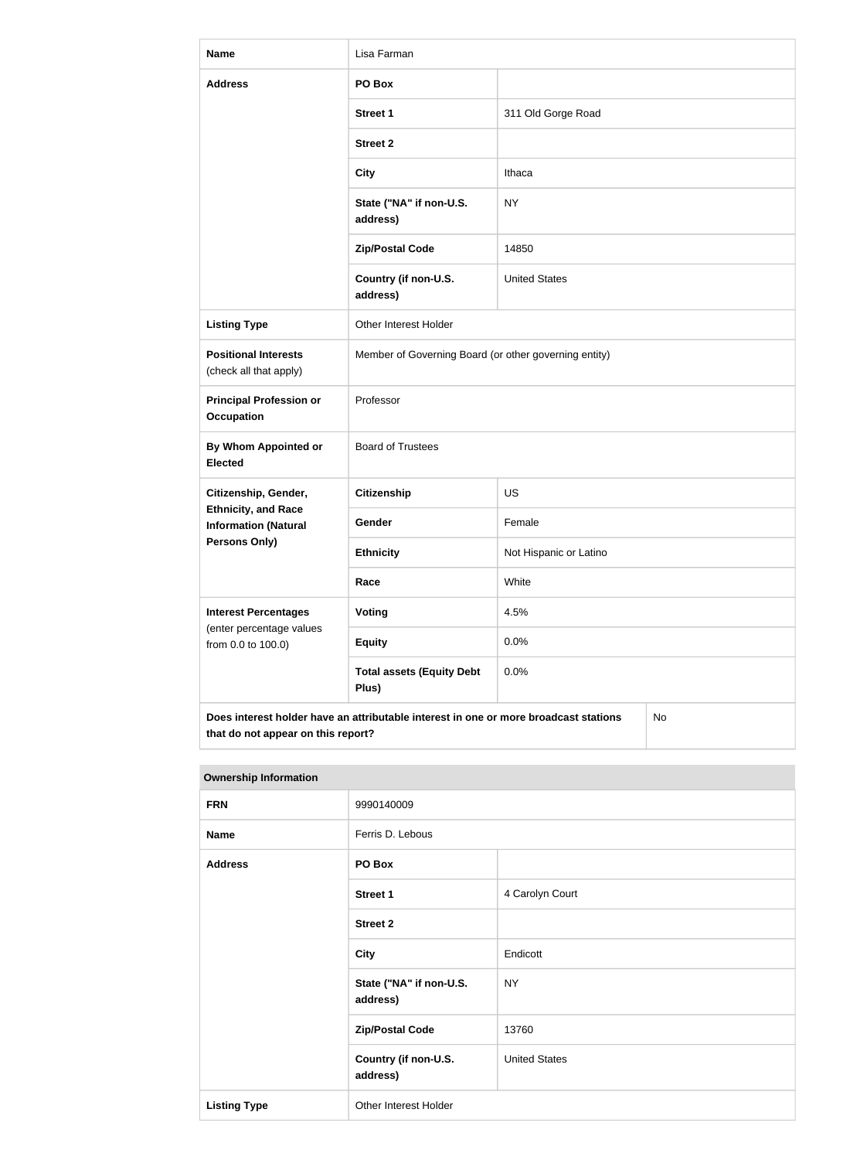| <b>Name</b>                                                                                                                      | Lisa Farman                                           |                        |  |
|----------------------------------------------------------------------------------------------------------------------------------|-------------------------------------------------------|------------------------|--|
| <b>Address</b>                                                                                                                   | PO Box                                                |                        |  |
|                                                                                                                                  | <b>Street 1</b>                                       | 311 Old Gorge Road     |  |
|                                                                                                                                  | <b>Street 2</b>                                       |                        |  |
|                                                                                                                                  | <b>City</b>                                           | Ithaca                 |  |
|                                                                                                                                  | State ("NA" if non-U.S.<br>address)                   | <b>NY</b>              |  |
|                                                                                                                                  | <b>Zip/Postal Code</b>                                | 14850                  |  |
|                                                                                                                                  | Country (if non-U.S.<br>address)                      | <b>United States</b>   |  |
| <b>Listing Type</b>                                                                                                              | Other Interest Holder                                 |                        |  |
| <b>Positional Interests</b><br>(check all that apply)                                                                            | Member of Governing Board (or other governing entity) |                        |  |
| <b>Principal Profession or</b><br><b>Occupation</b>                                                                              | Professor                                             |                        |  |
| <b>By Whom Appointed or</b><br><b>Elected</b>                                                                                    | <b>Board of Trustees</b>                              |                        |  |
| Citizenship, Gender,                                                                                                             | <b>Citizenship</b>                                    | <b>US</b>              |  |
| <b>Ethnicity, and Race</b><br><b>Information (Natural</b>                                                                        | Gender                                                | Female                 |  |
| <b>Persons Only)</b>                                                                                                             | <b>Ethnicity</b>                                      | Not Hispanic or Latino |  |
|                                                                                                                                  | Race                                                  | White                  |  |
| <b>Interest Percentages</b><br>(enter percentage values                                                                          | <b>Voting</b>                                         | 4.5%                   |  |
| from 0.0 to 100.0)                                                                                                               | <b>Equity</b>                                         | 0.0%                   |  |
|                                                                                                                                  | <b>Total assets (Equity Debt</b><br>Plus)             | 0.0%                   |  |
| Does interest holder have an attributable interest in one or more broadcast stations<br>No<br>that do not appear on this report? |                                                       |                        |  |

| <b>Ownership Information</b> |                                     |                      |
|------------------------------|-------------------------------------|----------------------|
| <b>FRN</b>                   | 9990140009                          |                      |
| <b>Name</b>                  | Ferris D. Lebous                    |                      |
| <b>Address</b>               | PO Box                              |                      |
|                              | <b>Street 1</b>                     | 4 Carolyn Court      |
|                              | <b>Street 2</b>                     |                      |
|                              | <b>City</b>                         | Endicott             |
|                              | State ("NA" if non-U.S.<br>address) | <b>NY</b>            |
|                              | <b>Zip/Postal Code</b>              | 13760                |
|                              | Country (if non-U.S.<br>address)    | <b>United States</b> |
| <b>Listing Type</b>          | Other Interest Holder               |                      |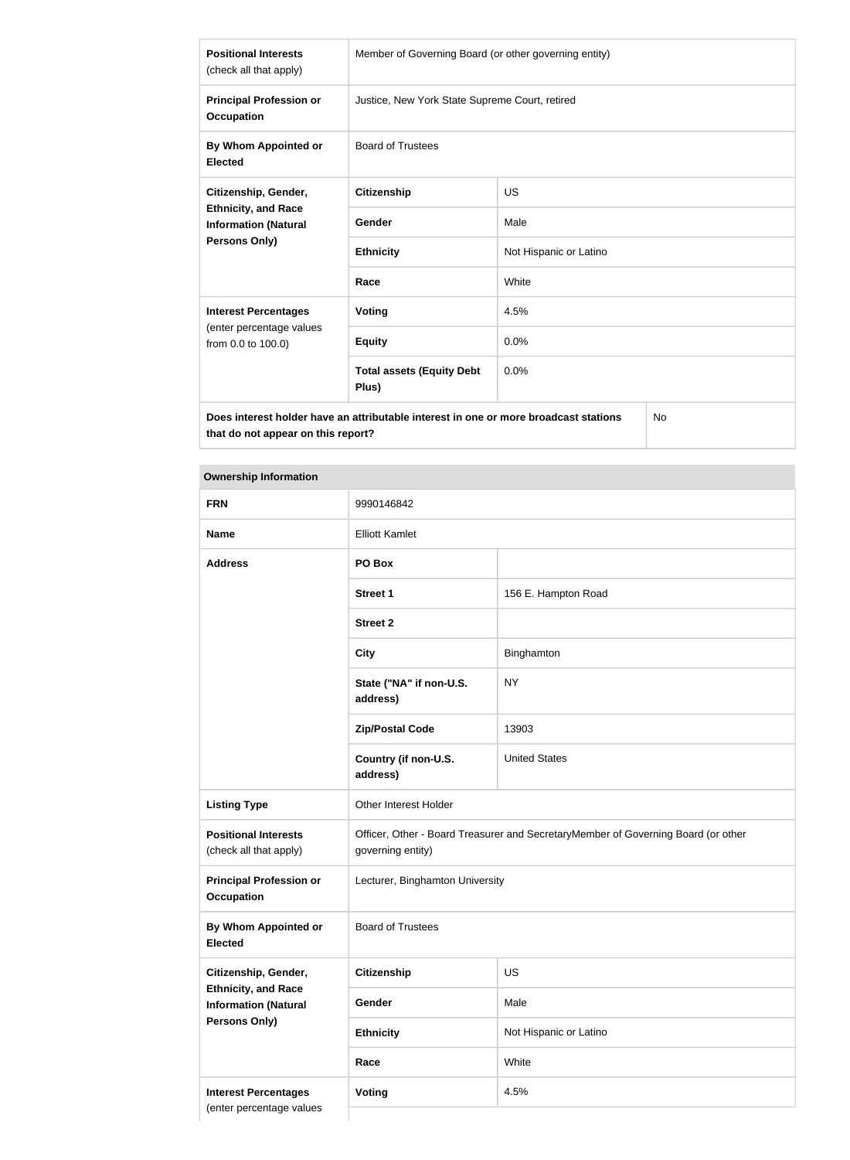| <b>Positional Interests</b><br>(check all that apply)                                                                                                 | Member of Governing Board (or other governing entity) |                        |
|-------------------------------------------------------------------------------------------------------------------------------------------------------|-------------------------------------------------------|------------------------|
| <b>Principal Profession or</b><br><b>Occupation</b>                                                                                                   | Justice, New York State Supreme Court, retired        |                        |
| By Whom Appointed or<br><b>Elected</b>                                                                                                                | <b>Board of Trustees</b>                              |                        |
| Citizenship, Gender,<br><b>Ethnicity, and Race</b><br><b>Information (Natural</b><br><b>Persons Only)</b>                                             | <b>Citizenship</b>                                    | <b>US</b>              |
|                                                                                                                                                       | Gender                                                | Male                   |
|                                                                                                                                                       | <b>Ethnicity</b>                                      | Not Hispanic or Latino |
|                                                                                                                                                       | Race                                                  | White                  |
| <b>Interest Percentages</b>                                                                                                                           | <b>Voting</b>                                         | 4.5%                   |
| (enter percentage values<br>from 0.0 to 100.0)                                                                                                        | <b>Equity</b>                                         | 0.0%                   |
|                                                                                                                                                       | <b>Total assets (Equity Debt</b><br>Plus)             | 0.0%                   |
| $\sim$ 100 $\sim$ 100 $\sim$ 100 $\sim$ 100 $\sim$ 100 $\sim$ 100 $\sim$ 100 $\sim$ 100 $\sim$ 100 $\sim$ 100 $\sim$ 100 $\sim$ 100 $\sim$ 100 $\sim$ |                                                       |                        |

**Does interest holder have an attributable interest in one or more broadcast stations that do not appear on this report?**

No

| <b>FRN</b>                                                | 9990146842                                                                                             |                        |
|-----------------------------------------------------------|--------------------------------------------------------------------------------------------------------|------------------------|
| <b>Name</b>                                               | <b>Elliott Kamlet</b>                                                                                  |                        |
| <b>Address</b>                                            | PO Box                                                                                                 |                        |
|                                                           | <b>Street 1</b>                                                                                        | 156 E. Hampton Road    |
|                                                           | <b>Street 2</b>                                                                                        |                        |
|                                                           | <b>City</b>                                                                                            | Binghamton             |
|                                                           | State ("NA" if non-U.S.<br>address)                                                                    | <b>NY</b>              |
|                                                           | <b>Zip/Postal Code</b>                                                                                 | 13903                  |
|                                                           | Country (if non-U.S.<br>address)                                                                       | <b>United States</b>   |
| <b>Listing Type</b>                                       | Other Interest Holder                                                                                  |                        |
| <b>Positional Interests</b><br>(check all that apply)     | Officer, Other - Board Treasurer and SecretaryMember of Governing Board (or other<br>governing entity) |                        |
| <b>Principal Profession or</b><br><b>Occupation</b>       | Lecturer, Binghamton University                                                                        |                        |
| By Whom Appointed or<br><b>Elected</b>                    | <b>Board of Trustees</b>                                                                               |                        |
| Citizenship, Gender,                                      | Citizenship                                                                                            | US                     |
| <b>Ethnicity, and Race</b><br><b>Information (Natural</b> | Gender                                                                                                 | Male                   |
| <b>Persons Only)</b>                                      | <b>Ethnicity</b>                                                                                       | Not Hispanic or Latino |
|                                                           | Race                                                                                                   | White                  |
| <b>Interest Percentages</b>                               | <b>Voting</b>                                                                                          | 4.5%                   |
| (enter percentage values                                  |                                                                                                        |                        |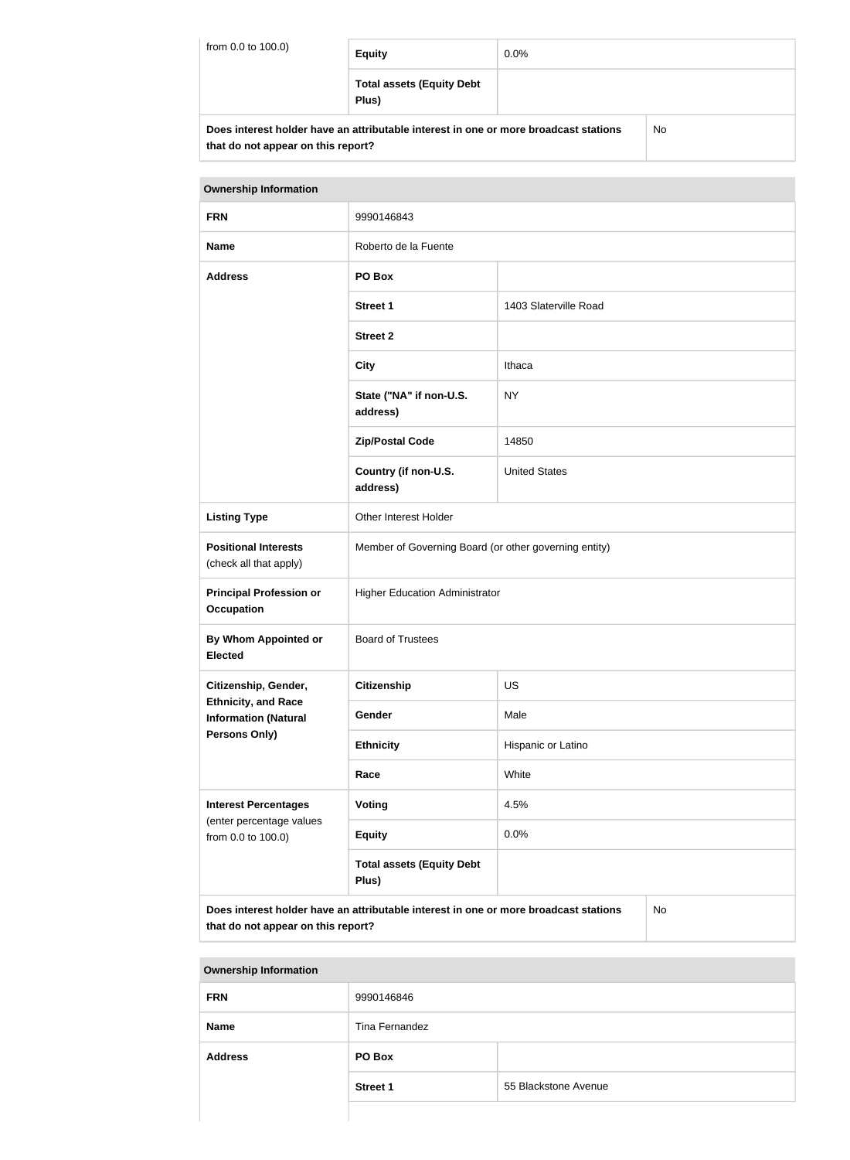| from 0.0 to 100.0) | <b>Equity</b>                                                                        | $0.0\%$ |    |
|--------------------|--------------------------------------------------------------------------------------|---------|----|
|                    | <b>Total assets (Equity Debt</b><br>Plus)                                            |         |    |
|                    | Does interest holder have an attributable interest in one or more broadcast stations |         | No |

**that do not appear on this report?**

# **Ownership Information FRN** 9990146843 **Name** Roberto de la Fuente **Address PO Box Street 1** 1403 Slaterville Road **Street 2 City** Ithaca **State ("NA" if non-U.S. address)** NY **Zip/Postal Code** 14850 **Country (if non-U.S. address)** United States **Listing Type Cina Communist Communist Communist Communist Communist Communist Communist Communist Communist Communist Communist Communist Communist Communist Communist Communist Communist Communist Communist Communist C Positional Interests** (check all that apply) Member of Governing Board (or other governing entity) **Principal Profession or Occupation** Higher Education Administrator **By Whom Appointed or Elected** Board of Trustees **Citizenship, Gender, Ethnicity, and Race Information (Natural Persons Only) Citizenship** US Gender Male **Ethnicity** Hispanic or Latino **Race** White **Interest Percentages** (enter percentage values from 0.0 to 100.0) **Voting** 4.5% **Equity** 0.0% **Total assets (Equity Debt Plus) Does interest holder have an attributable interest in one or more broadcast stations that do not appear on this report?** No

| <b>Ownership Information</b> |                 |                      |
|------------------------------|-----------------|----------------------|
| <b>FRN</b>                   | 9990146846      |                      |
| <b>Name</b>                  | Tina Fernandez  |                      |
| <b>Address</b>               | PO Box          |                      |
|                              | <b>Street 1</b> | 55 Blackstone Avenue |
|                              |                 |                      |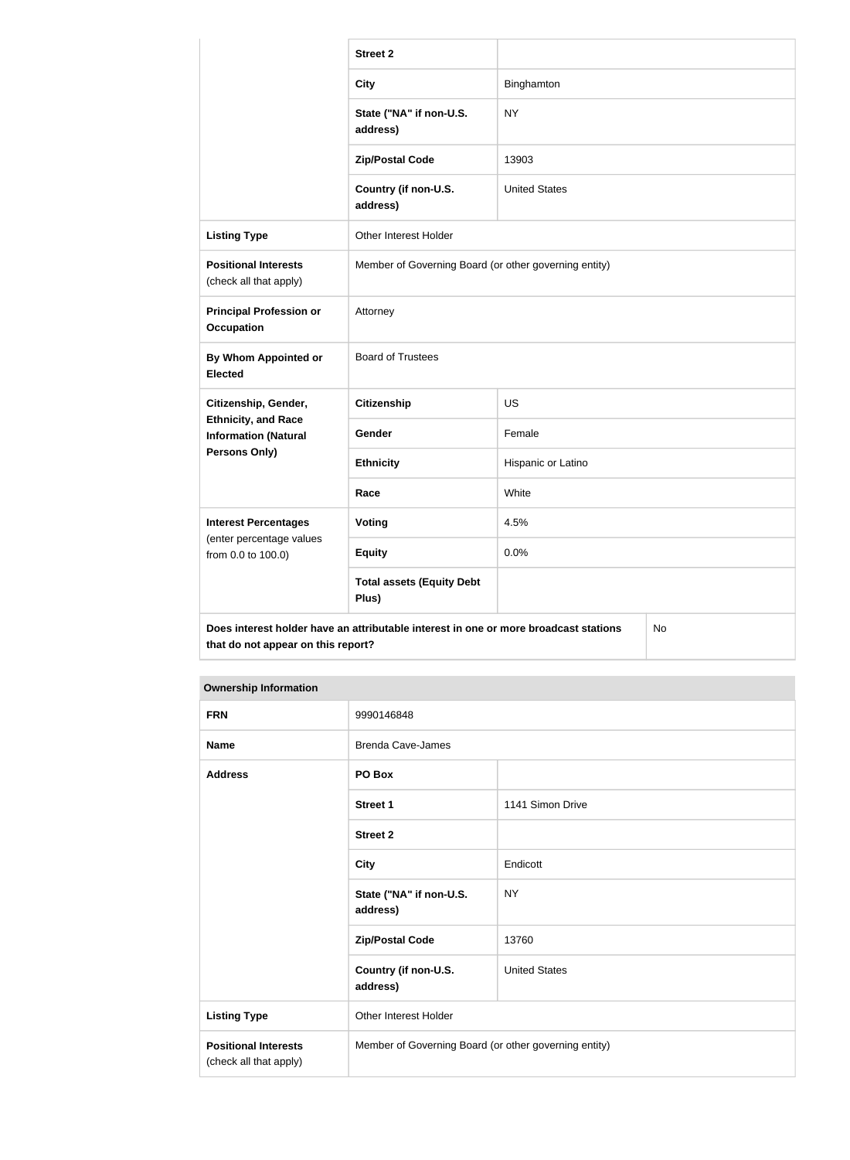|                                                                                                                                  | <b>Street 2</b>                                       |                      |  |
|----------------------------------------------------------------------------------------------------------------------------------|-------------------------------------------------------|----------------------|--|
|                                                                                                                                  | <b>City</b>                                           | Binghamton           |  |
|                                                                                                                                  | State ("NA" if non-U.S.<br>address)                   | <b>NY</b>            |  |
|                                                                                                                                  | <b>Zip/Postal Code</b>                                | 13903                |  |
|                                                                                                                                  | Country (if non-U.S.<br>address)                      | <b>United States</b> |  |
| <b>Listing Type</b>                                                                                                              | Other Interest Holder                                 |                      |  |
| <b>Positional Interests</b><br>(check all that apply)                                                                            | Member of Governing Board (or other governing entity) |                      |  |
| <b>Principal Profession or</b><br><b>Occupation</b>                                                                              | Attorney                                              |                      |  |
| <b>By Whom Appointed or</b><br><b>Elected</b>                                                                                    | <b>Board of Trustees</b>                              |                      |  |
| Citizenship, Gender,                                                                                                             | <b>Citizenship</b>                                    | <b>US</b>            |  |
| <b>Ethnicity, and Race</b><br><b>Information (Natural</b>                                                                        | Gender                                                | Female               |  |
| <b>Persons Only)</b>                                                                                                             | <b>Ethnicity</b>                                      | Hispanic or Latino   |  |
|                                                                                                                                  | Race                                                  | White                |  |
| <b>Interest Percentages</b>                                                                                                      | Voting                                                | 4.5%                 |  |
| (enter percentage values<br>from 0.0 to 100.0)                                                                                   | <b>Equity</b>                                         | 0.0%                 |  |
|                                                                                                                                  | <b>Total assets (Equity Debt</b><br>Plus)             |                      |  |
| Does interest holder have an attributable interest in one or more broadcast stations<br>No<br>that do not appear on this report? |                                                       |                      |  |

| <b>FRN</b>                                            | 9990146848                                            |                      |
|-------------------------------------------------------|-------------------------------------------------------|----------------------|
| <b>Name</b>                                           | <b>Brenda Cave-James</b>                              |                      |
| <b>Address</b>                                        | PO Box                                                |                      |
|                                                       | <b>Street 1</b>                                       | 1141 Simon Drive     |
|                                                       | <b>Street 2</b>                                       |                      |
|                                                       | <b>City</b>                                           | Endicott             |
|                                                       | State ("NA" if non-U.S.<br>address)                   | <b>NY</b>            |
|                                                       | <b>Zip/Postal Code</b>                                | 13760                |
|                                                       | Country (if non-U.S.<br>address)                      | <b>United States</b> |
| <b>Listing Type</b>                                   | Other Interest Holder                                 |                      |
| <b>Positional Interests</b><br>(check all that apply) | Member of Governing Board (or other governing entity) |                      |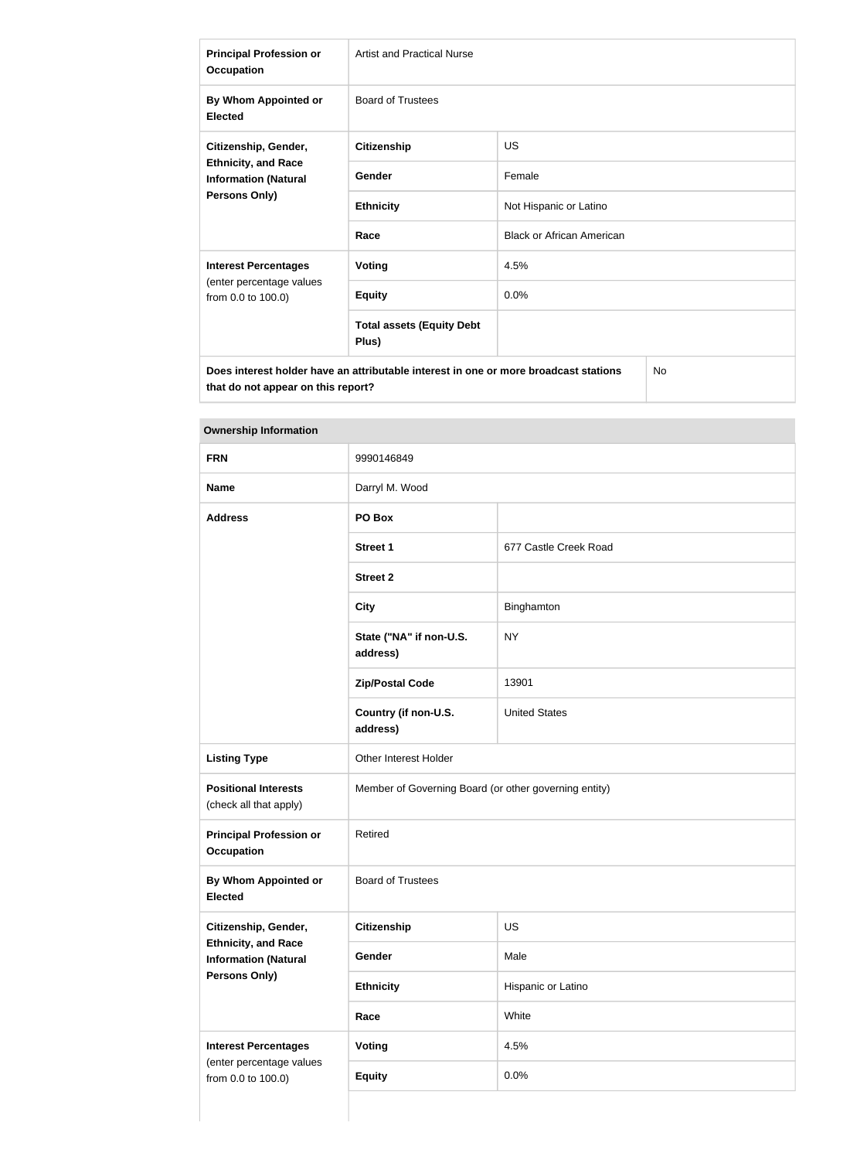| <b>Principal Profession or</b><br><b>Occupation</b>                                                | <b>Artist and Practical Nurse</b>         |                                  |
|----------------------------------------------------------------------------------------------------|-------------------------------------------|----------------------------------|
| By Whom Appointed or<br><b>Elected</b>                                                             | <b>Board of Trustees</b>                  |                                  |
| Citizenship, Gender,<br><b>Ethnicity, and Race</b><br><b>Information (Natural</b><br>Persons Only) | <b>Citizenship</b>                        | <b>US</b>                        |
|                                                                                                    | Gender                                    | Female                           |
|                                                                                                    | <b>Ethnicity</b>                          | Not Hispanic or Latino           |
|                                                                                                    | Race                                      | <b>Black or African American</b> |
| <b>Interest Percentages</b>                                                                        | Voting                                    | 4.5%                             |
| (enter percentage values<br>from 0.0 to 100.0)                                                     | <b>Equity</b>                             | 0.0%                             |
|                                                                                                    | <b>Total assets (Equity Debt</b><br>Plus) |                                  |
| <b>No</b><br>Does interest holder have an attributable interest in one or more broadcast stations  |                                           |                                  |

**that do not appear on this report?**

| <b>FRN</b>                                                                 | 9990146849                                            |                       |
|----------------------------------------------------------------------------|-------------------------------------------------------|-----------------------|
| <b>Name</b>                                                                | Darryl M. Wood                                        |                       |
| <b>Address</b>                                                             | PO Box                                                |                       |
|                                                                            | <b>Street 1</b>                                       | 677 Castle Creek Road |
|                                                                            | <b>Street 2</b>                                       |                       |
|                                                                            | <b>City</b>                                           | Binghamton            |
|                                                                            | State ("NA" if non-U.S.<br>address)                   | <b>NY</b>             |
|                                                                            | <b>Zip/Postal Code</b>                                | 13901                 |
|                                                                            | Country (if non-U.S.<br>address)                      | <b>United States</b>  |
| <b>Listing Type</b>                                                        | Other Interest Holder                                 |                       |
| <b>Positional Interests</b><br>(check all that apply)                      | Member of Governing Board (or other governing entity) |                       |
| <b>Principal Profession or</b><br>Occupation                               | Retired                                               |                       |
| By Whom Appointed or<br><b>Elected</b>                                     | <b>Board of Trustees</b>                              |                       |
| Citizenship, Gender,                                                       | <b>Citizenship</b>                                    | US                    |
| <b>Ethnicity, and Race</b><br><b>Information (Natural</b><br>Persons Only) | Gender                                                | Male                  |
|                                                                            | <b>Ethnicity</b>                                      | Hispanic or Latino    |
|                                                                            | Race                                                  | White                 |
| <b>Interest Percentages</b>                                                | <b>Voting</b>                                         | 4.5%                  |
| (enter percentage values<br>from 0.0 to 100.0)                             | <b>Equity</b>                                         | 0.0%                  |
|                                                                            |                                                       |                       |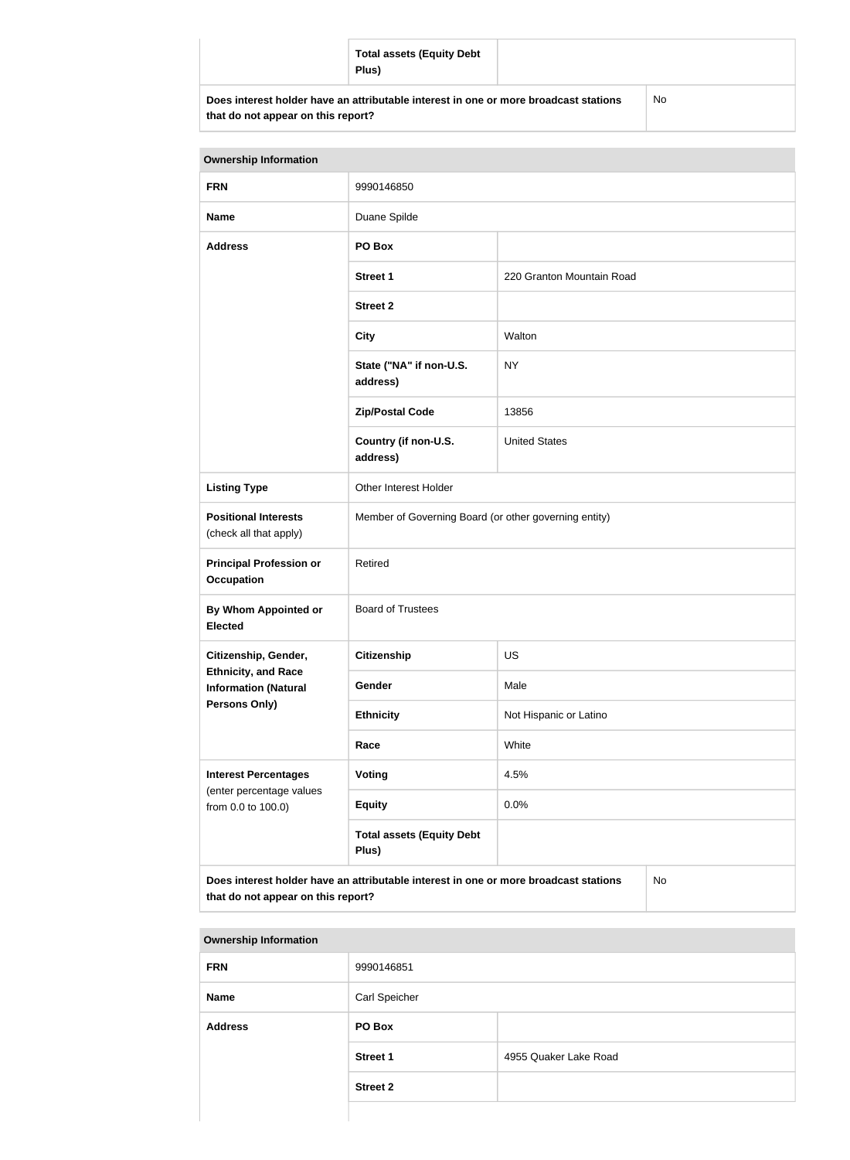|                                    | <b>Total assets (Equity Debt</b><br>Plus)                                            |           |
|------------------------------------|--------------------------------------------------------------------------------------|-----------|
| that do not appear on this report? | Does interest holder have an attributable interest in one or more broadcast stations | <b>No</b> |

| <b>Ownership Information</b>                                                                                                            |                                                       |                           |  |
|-----------------------------------------------------------------------------------------------------------------------------------------|-------------------------------------------------------|---------------------------|--|
| <b>FRN</b>                                                                                                                              | 9990146850                                            |                           |  |
| <b>Name</b>                                                                                                                             | Duane Spilde                                          |                           |  |
| <b>Address</b>                                                                                                                          | PO Box                                                |                           |  |
|                                                                                                                                         | <b>Street 1</b>                                       | 220 Granton Mountain Road |  |
|                                                                                                                                         | <b>Street 2</b>                                       |                           |  |
|                                                                                                                                         | <b>City</b>                                           | Walton                    |  |
|                                                                                                                                         | State ("NA" if non-U.S.<br>address)                   | <b>NY</b>                 |  |
|                                                                                                                                         | <b>Zip/Postal Code</b>                                | 13856                     |  |
|                                                                                                                                         | Country (if non-U.S.<br>address)                      | <b>United States</b>      |  |
| <b>Listing Type</b>                                                                                                                     | Other Interest Holder                                 |                           |  |
| <b>Positional Interests</b><br>(check all that apply)                                                                                   | Member of Governing Board (or other governing entity) |                           |  |
| <b>Principal Profession or</b><br><b>Occupation</b>                                                                                     | Retired                                               |                           |  |
| By Whom Appointed or<br><b>Elected</b>                                                                                                  | <b>Board of Trustees</b>                              |                           |  |
| Citizenship, Gender,                                                                                                                    | <b>Citizenship</b>                                    | <b>US</b>                 |  |
| <b>Ethnicity, and Race</b><br><b>Information (Natural</b>                                                                               | <b>Gender</b>                                         | Male                      |  |
| <b>Persons Only)</b>                                                                                                                    | <b>Ethnicity</b>                                      | Not Hispanic or Latino    |  |
|                                                                                                                                         | Race                                                  | White                     |  |
| <b>Interest Percentages</b><br>(enter percentage values                                                                                 | <b>Voting</b>                                         | 4.5%                      |  |
| from 0.0 to 100.0)                                                                                                                      | <b>Equity</b>                                         | 0.0%                      |  |
|                                                                                                                                         | <b>Total assets (Equity Debt</b><br>Plus)             |                           |  |
| Does interest holder have an attributable interest in one or more broadcast stations<br><b>No</b><br>that do not appear on this report? |                                                       |                           |  |

| <b>Ownership Information</b> |                 |                       |
|------------------------------|-----------------|-----------------------|
| <b>FRN</b>                   | 9990146851      |                       |
| <b>Name</b>                  | Carl Speicher   |                       |
| <b>Address</b>               | PO Box          |                       |
|                              | <b>Street 1</b> | 4955 Quaker Lake Road |
|                              | <b>Street 2</b> |                       |
|                              |                 |                       |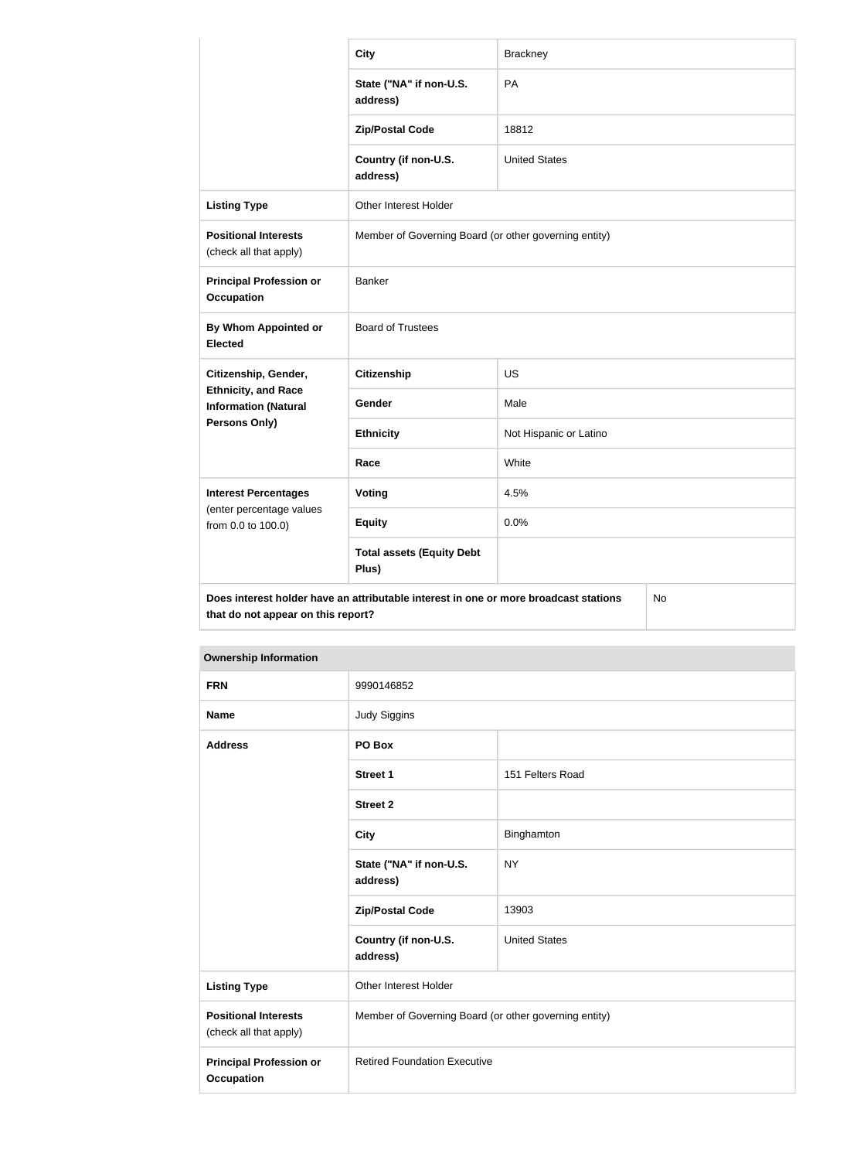|                                                           | <b>City</b>                                                                          | <b>Brackney</b>        |    |
|-----------------------------------------------------------|--------------------------------------------------------------------------------------|------------------------|----|
|                                                           | State ("NA" if non-U.S.<br>address)                                                  | PA                     |    |
|                                                           | <b>Zip/Postal Code</b>                                                               | 18812                  |    |
|                                                           | Country (if non-U.S.<br>address)                                                     | <b>United States</b>   |    |
| <b>Listing Type</b>                                       | Other Interest Holder                                                                |                        |    |
| <b>Positional Interests</b><br>(check all that apply)     | Member of Governing Board (or other governing entity)                                |                        |    |
| <b>Principal Profession or</b><br><b>Occupation</b>       | <b>Banker</b>                                                                        |                        |    |
| <b>By Whom Appointed or</b><br><b>Elected</b>             | <b>Board of Trustees</b>                                                             |                        |    |
| Citizenship, Gender,                                      | <b>Citizenship</b>                                                                   | <b>US</b>              |    |
| <b>Ethnicity, and Race</b><br><b>Information (Natural</b> | Gender                                                                               | Male                   |    |
| Persons Only)                                             | <b>Ethnicity</b>                                                                     | Not Hispanic or Latino |    |
|                                                           | Race                                                                                 | White                  |    |
| <b>Interest Percentages</b>                               | <b>Voting</b>                                                                        | 4.5%                   |    |
| (enter percentage values<br>from 0.0 to 100.0)            | <b>Equity</b>                                                                        | 0.0%                   |    |
|                                                           | <b>Total assets (Equity Debt</b><br>Plus)                                            |                        |    |
| that do not appear on this report?                        | Does interest holder have an attributable interest in one or more broadcast stations |                        | No |

| <b>Ownership Information</b>                          |                                                       |                      |  |
|-------------------------------------------------------|-------------------------------------------------------|----------------------|--|
| <b>FRN</b>                                            | 9990146852                                            |                      |  |
| <b>Name</b>                                           | <b>Judy Siggins</b>                                   |                      |  |
| <b>Address</b>                                        | PO Box                                                |                      |  |
|                                                       | <b>Street 1</b>                                       | 151 Felters Road     |  |
|                                                       | <b>Street 2</b>                                       |                      |  |
|                                                       | <b>City</b>                                           | Binghamton           |  |
|                                                       | State ("NA" if non-U.S.<br>address)                   | <b>NY</b>            |  |
|                                                       | <b>Zip/Postal Code</b>                                | 13903                |  |
|                                                       | Country (if non-U.S.<br>address)                      | <b>United States</b> |  |
| <b>Listing Type</b>                                   | Other Interest Holder                                 |                      |  |
| <b>Positional Interests</b><br>(check all that apply) | Member of Governing Board (or other governing entity) |                      |  |
| <b>Principal Profession or</b><br><b>Occupation</b>   | <b>Retired Foundation Executive</b>                   |                      |  |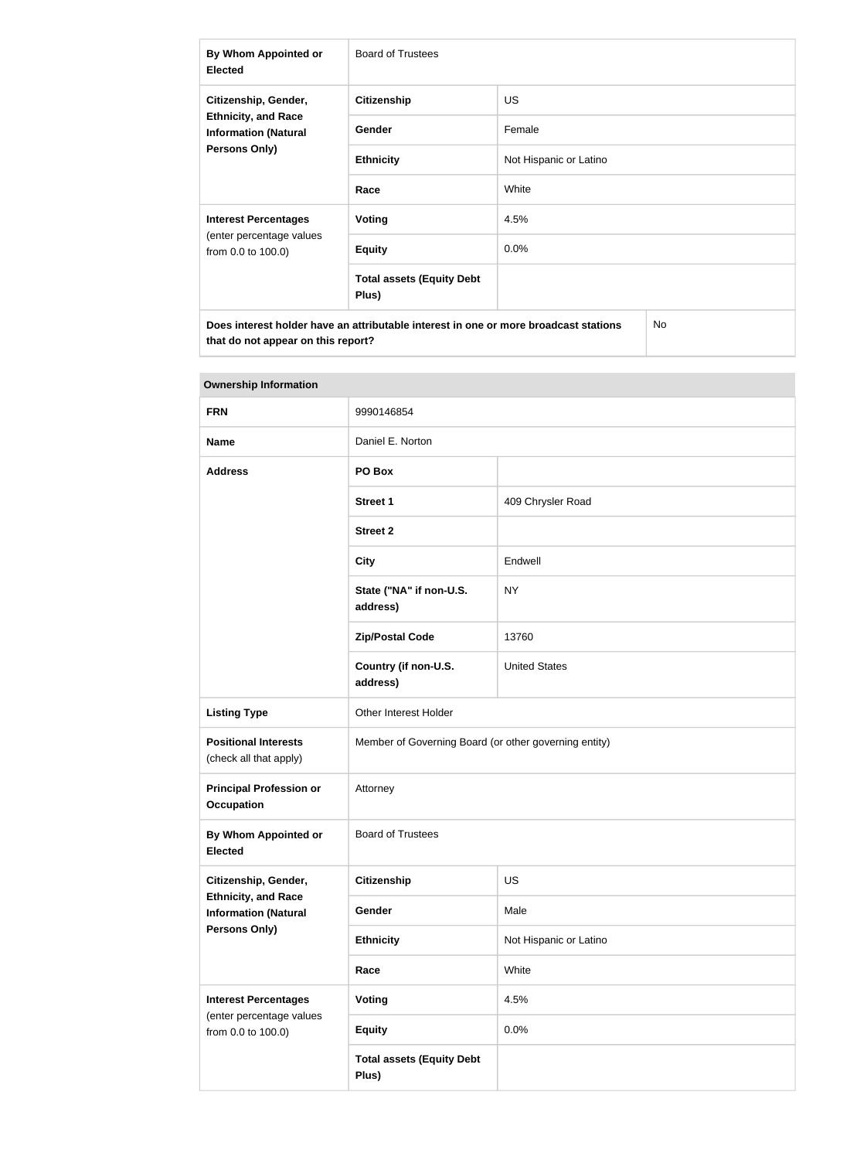| By Whom Appointed or<br><b>Elected</b>                                                                    | <b>Board of Trustees</b>                  |                        |  |
|-----------------------------------------------------------------------------------------------------------|-------------------------------------------|------------------------|--|
| Citizenship, Gender,<br><b>Ethnicity, and Race</b><br><b>Information (Natural</b><br><b>Persons Only)</b> | <b>Citizenship</b>                        | <b>US</b>              |  |
|                                                                                                           | <b>Gender</b>                             | Female                 |  |
|                                                                                                           | <b>Ethnicity</b>                          | Not Hispanic or Latino |  |
|                                                                                                           | Race                                      | White                  |  |
| <b>Interest Percentages</b>                                                                               | Voting                                    | 4.5%                   |  |
| (enter percentage values<br>from 0.0 to 100.0)                                                            | <b>Equity</b>                             | 0.0%                   |  |
|                                                                                                           | <b>Total assets (Equity Debt</b><br>Plus) |                        |  |
| Does interest holder have an attributable interest in one or more broadcast stations                      |                                           | No                     |  |

| <b>Ownership Information</b>                              |                                           |                                                       |  |
|-----------------------------------------------------------|-------------------------------------------|-------------------------------------------------------|--|
| <b>FRN</b>                                                | 9990146854                                |                                                       |  |
| <b>Name</b>                                               | Daniel E. Norton                          |                                                       |  |
| <b>Address</b>                                            | PO Box                                    |                                                       |  |
|                                                           | <b>Street 1</b>                           | 409 Chrysler Road                                     |  |
|                                                           | <b>Street 2</b>                           |                                                       |  |
|                                                           | <b>City</b>                               | Endwell                                               |  |
|                                                           | State ("NA" if non-U.S.<br>address)       | <b>NY</b>                                             |  |
|                                                           | <b>Zip/Postal Code</b>                    | 13760                                                 |  |
|                                                           | Country (if non-U.S.<br>address)          | <b>United States</b>                                  |  |
| <b>Listing Type</b>                                       | Other Interest Holder                     |                                                       |  |
| <b>Positional Interests</b><br>(check all that apply)     |                                           | Member of Governing Board (or other governing entity) |  |
| <b>Principal Profession or</b><br><b>Occupation</b>       | Attorney                                  |                                                       |  |
| <b>By Whom Appointed or</b><br><b>Elected</b>             | <b>Board of Trustees</b>                  |                                                       |  |
| Citizenship, Gender,                                      | <b>Citizenship</b>                        | US                                                    |  |
| <b>Ethnicity, and Race</b><br><b>Information (Natural</b> | Gender                                    | Male                                                  |  |
| <b>Persons Only)</b>                                      | <b>Ethnicity</b>                          | Not Hispanic or Latino                                |  |
|                                                           | Race                                      | White                                                 |  |
| <b>Interest Percentages</b><br>(enter percentage values   | <b>Voting</b>                             | 4.5%                                                  |  |
| from 0.0 to 100.0)                                        | <b>Equity</b>                             | 0.0%                                                  |  |
|                                                           | <b>Total assets (Equity Debt</b><br>Plus) |                                                       |  |

# **The State**

**that do not appear on this report?**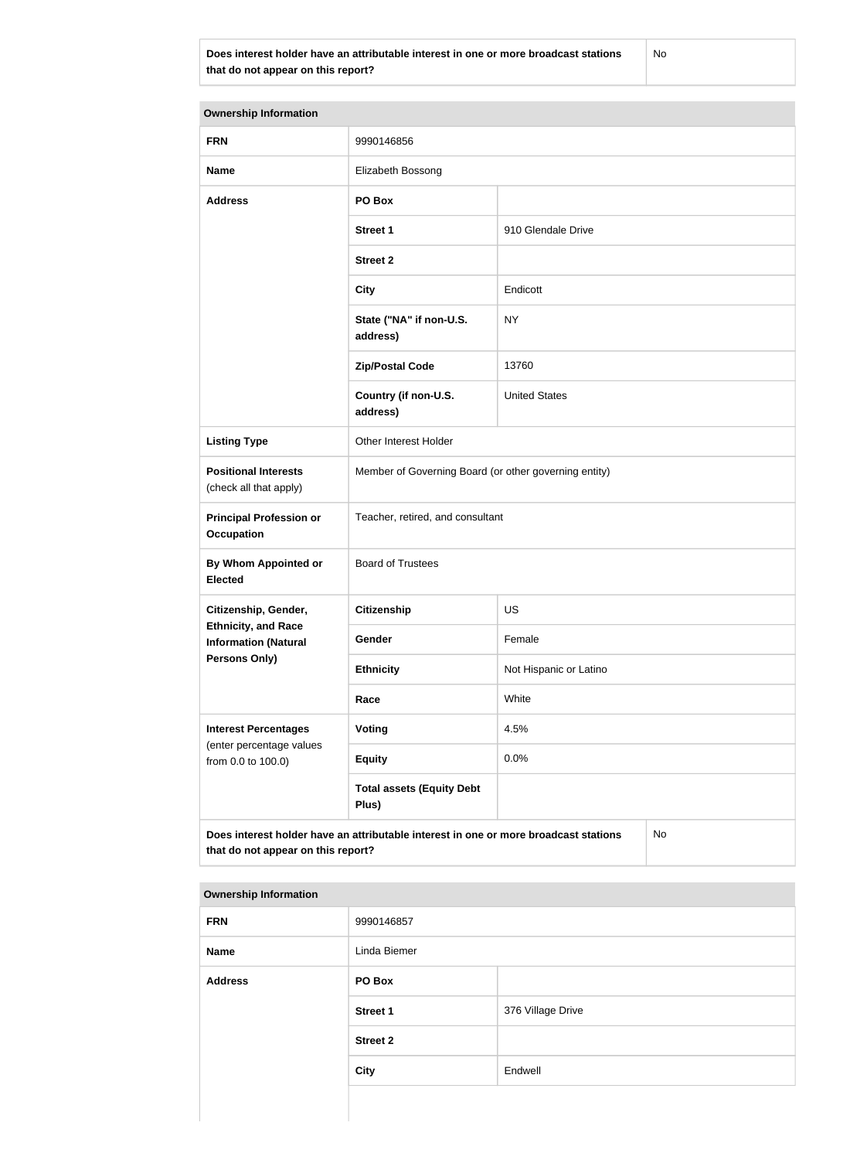**Does interest holder have an attributable interest in one or more broadcast stations that do not appear on this report?**

No

| <b>Ownership Information</b>                                                                                                     |                                                       |                        |  |
|----------------------------------------------------------------------------------------------------------------------------------|-------------------------------------------------------|------------------------|--|
| <b>FRN</b>                                                                                                                       | 9990146856                                            |                        |  |
| <b>Name</b>                                                                                                                      | Elizabeth Bossong                                     |                        |  |
| <b>Address</b>                                                                                                                   | PO Box                                                |                        |  |
|                                                                                                                                  | <b>Street 1</b>                                       | 910 Glendale Drive     |  |
|                                                                                                                                  | <b>Street 2</b>                                       |                        |  |
|                                                                                                                                  | <b>City</b>                                           | Endicott               |  |
|                                                                                                                                  | State ("NA" if non-U.S.<br>address)                   | <b>NY</b>              |  |
|                                                                                                                                  | <b>Zip/Postal Code</b>                                | 13760                  |  |
|                                                                                                                                  | Country (if non-U.S.<br>address)                      | <b>United States</b>   |  |
| <b>Listing Type</b>                                                                                                              | Other Interest Holder                                 |                        |  |
| <b>Positional Interests</b><br>(check all that apply)                                                                            | Member of Governing Board (or other governing entity) |                        |  |
| <b>Principal Profession or</b><br>Occupation                                                                                     | Teacher, retired, and consultant                      |                        |  |
| By Whom Appointed or<br><b>Elected</b>                                                                                           | <b>Board of Trustees</b>                              |                        |  |
| Citizenship, Gender,                                                                                                             | <b>Citizenship</b>                                    | <b>US</b>              |  |
| <b>Ethnicity, and Race</b><br><b>Information (Natural</b>                                                                        | Gender                                                | Female                 |  |
| <b>Persons Only)</b>                                                                                                             | <b>Ethnicity</b>                                      | Not Hispanic or Latino |  |
|                                                                                                                                  | Race                                                  | White                  |  |
| <b>Interest Percentages</b>                                                                                                      | Voting                                                | 4.5%                   |  |
| (enter percentage values<br>from 0.0 to 100.0)                                                                                   | <b>Equity</b>                                         | 0.0%                   |  |
|                                                                                                                                  | <b>Total assets (Equity Debt</b><br>Plus)             |                        |  |
| Does interest holder have an attributable interest in one or more broadcast stations<br>No<br>that do not appear on this report? |                                                       |                        |  |

| <b>FRN</b>     | 9990146857      |                   |
|----------------|-----------------|-------------------|
| Name           | Linda Biemer    |                   |
| <b>Address</b> | PO Box          |                   |
|                | <b>Street 1</b> | 376 Village Drive |
|                | <b>Street 2</b> |                   |
|                | <b>City</b>     | Endwell           |
|                |                 |                   |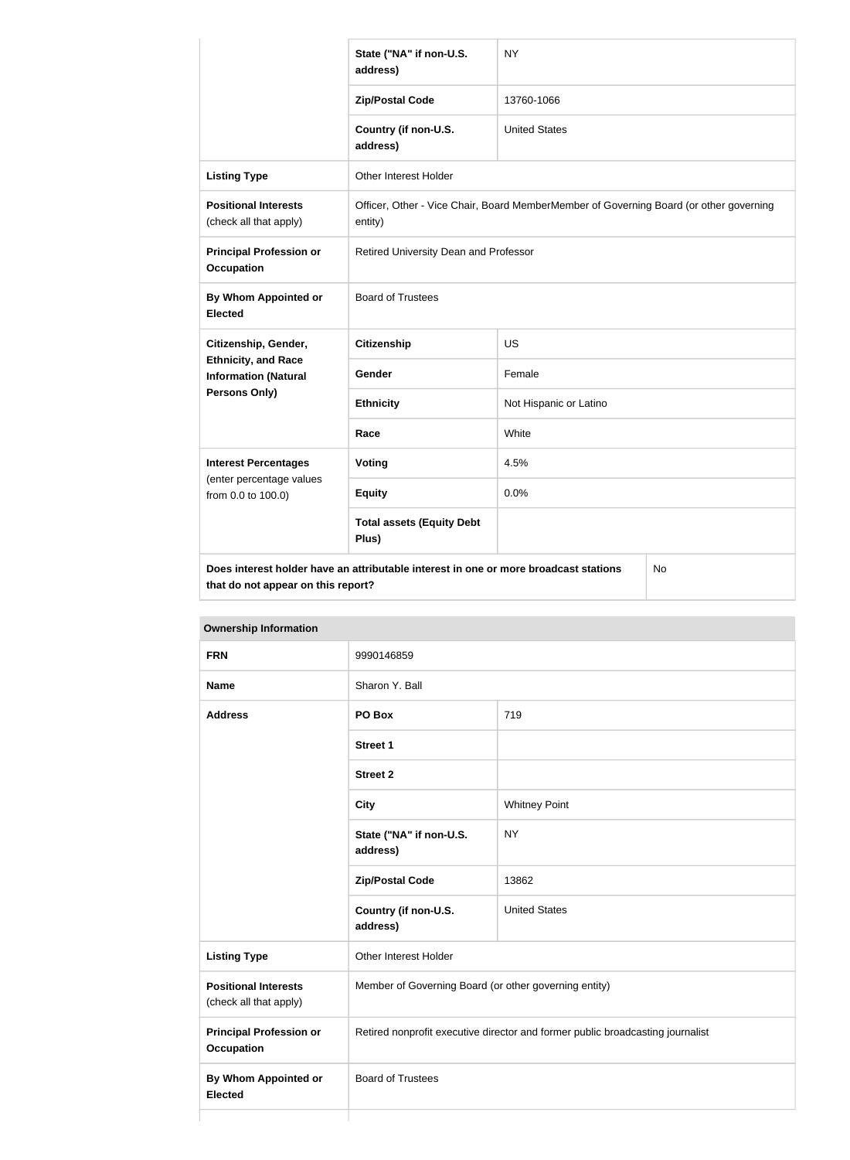|                                                           | State ("NA" if non-U.S.<br>address)                                                  | <b>NY</b>                                                                              |           |
|-----------------------------------------------------------|--------------------------------------------------------------------------------------|----------------------------------------------------------------------------------------|-----------|
|                                                           | <b>Zip/Postal Code</b>                                                               | 13760-1066                                                                             |           |
|                                                           | Country (if non-U.S.<br>address)                                                     | <b>United States</b>                                                                   |           |
| <b>Listing Type</b>                                       | <b>Other Interest Holder</b>                                                         |                                                                                        |           |
| <b>Positional Interests</b><br>(check all that apply)     | entity)                                                                              | Officer, Other - Vice Chair, Board MemberMember of Governing Board (or other governing |           |
| <b>Principal Profession or</b><br><b>Occupation</b>       | Retired University Dean and Professor                                                |                                                                                        |           |
| By Whom Appointed or<br><b>Elected</b>                    | <b>Board of Trustees</b>                                                             |                                                                                        |           |
| Citizenship, Gender,                                      | <b>Citizenship</b>                                                                   | <b>US</b>                                                                              |           |
| <b>Ethnicity, and Race</b><br><b>Information (Natural</b> | Gender                                                                               | Female                                                                                 |           |
| Persons Only)                                             | <b>Ethnicity</b>                                                                     | Not Hispanic or Latino                                                                 |           |
|                                                           | Race                                                                                 | White                                                                                  |           |
| <b>Interest Percentages</b>                               | <b>Voting</b>                                                                        | 4.5%                                                                                   |           |
| (enter percentage values<br>from 0.0 to 100.0)            | <b>Equity</b>                                                                        | 0.0%                                                                                   |           |
|                                                           | <b>Total assets (Equity Debt</b><br>Plus)                                            |                                                                                        |           |
| that do not appear on this report?                        | Does interest holder have an attributable interest in one or more broadcast stations |                                                                                        | <b>No</b> |

**Ownership Information FRN** 9990146859 **Name** Sharon Y. Ball **Address PO Box** 719 **Street 1 Street 2 City** Whitney Point **State ("NA" if non-U.S. address)** NY **Zip/Postal Code** 13862 **Country (if non-U.S. address)** United States **Listing Type Communist Communist Property** Other Interest Holder **Positional Interests** (check all that apply) Member of Governing Board (or other governing entity) **Principal Profession or Occupation** Retired nonprofit executive director and former public broadcasting journalist **By Whom Appointed or Elected** Board of Trustees